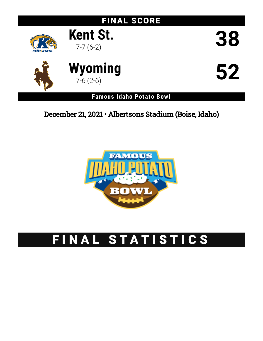# FINAL SCORE



7-7 (6-2) **38**

**Kent St.**



**Wyoming** 7-6 (2-6) **52**

**Famous Idaho Potato Bowl**

December 21, 2021 • Albertsons Stadium (Boise, Idaho)



# FINAL STATISTICS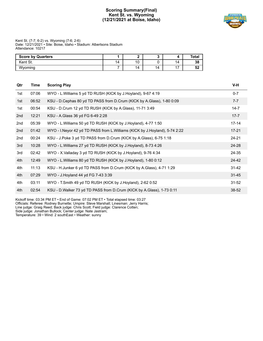# **Scoring Summary(Final) Kent St. vs. Wyoming (12/21/2021 at Boise, Idaho)**



#### Kent St. (7-7; 6-2) vs. Wyoming (7-6; 2-6) Date: 12/21/2021 • Site: Boise, Idaho • Stadium: Albertsons Stadium Attendance: 10217

| <b>Score by Quarters</b> |    |           |    |     | Total |
|--------------------------|----|-----------|----|-----|-------|
| Kent St.                 | 14 | 10<br>1 U |    | 14  | 38    |
| Wyoming                  |    | 14        | 14 | . – | 52    |

| Qtr | Time  | <b>Scoring Play</b>                                                           | V-H       |
|-----|-------|-------------------------------------------------------------------------------|-----------|
| 1st | 07:06 | WYO - L.Williams 5 yd TD RUSH (KICK by J.Hoyland), 9-67 4:19                  | $0 - 7$   |
| 1st | 06:52 | KSU - D. Cephas 80 yd TD PASS from D. Crum (KICK by A. Glass), 1-80 0:09      | $7 - 7$   |
| 1st | 00:54 | KSU - D.Crum 12 yd TD RUSH (KICK by A.Glass), 11-71 3:49                      | $14 - 7$  |
| 2nd | 12:21 | KSU - A.Glass 36 yd FG 6-49 2:28                                              | $17 - 7$  |
| 2nd | 05:39 | WYO - L. Williams 50 yd TD RUSH (KICK by J. Hoyland), 4-77 1:50               | $17 - 14$ |
| 2nd | 01:42 | WYO - I. Neyor 42 yd TD PASS from L. Williams (KICK by J. Hoyland), 5-74 2:22 | $17 - 21$ |
| 2nd | 00:24 | KSU - J.Poke 3 yd TD PASS from D.Crum (KICK by A.Glass), 6-75 1:18            | 24-21     |
| 3rd | 10:28 | WYO - L. Williams 27 yd TD RUSH (KICK by J. Hoyland), 8-73 4:26               | $24 - 28$ |
| 3rd | 02:42 | WYO - X.Valladay 3 yd TD RUSH (KICK by J.Hoyland), 9-76 4:34                  | 24-35     |
| 4th | 12:49 | WYO - L. Williams 80 yd TD RUSH (KICK by J. Hoyland), 1-80 0:12               | $24 - 42$ |
| 4th | 11:13 | KSU - H.Junker 6 yd TD PASS from D.Crum (KICK by A.Glass), 4-71 1:29          | $31 - 42$ |
| 4th | 07:29 | WYO - J. Hoyland 44 yd FG 7-43 3:39                                           | $31 - 45$ |
| 4th | 03:11 | WYO - T.Smith 49 yd TD RUSH (KICK by J.Hoyland), 2-62 0:52                    | $31 - 52$ |
| 4th | 02:54 | KSU - D.Walker 73 yd TD PASS from D.Crum (KICK by A.Glass), 1-73 0:11         | $38 - 52$ |

Kickoff time: 03:34 PM ET • End of Game: 07:02 PM ET • Total elapsed time: 03:27 Officials: Referee: Rodney Burnette; Umpire: Steve Marshall; Linesman: Jerry Harris; Line judge: Graig Reed; Back judge: Chris Scott; Field judge: Clarence Cotten; Side judge: Jonathan Bullock; Center judge: Nate Jastram; Temperature: 39 • Wind: 2 southEast • Weather: sunny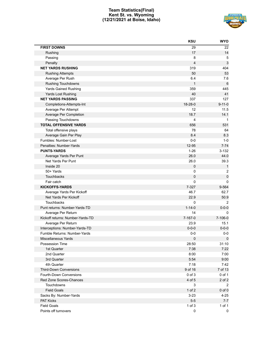# **Team Statistics(Final) Kent St. vs. Wyoming (12/21/2021 at Boise, Idaho)**



|                                  | <b>KSU</b>     | <b>WYO</b>     |
|----------------------------------|----------------|----------------|
| <b>FIRST DOWNS</b>               | 29             | 22             |
| Rushing                          | 17             | 14             |
| Passing                          | 8              | 5              |
| Penalty                          | $\overline{4}$ | 3              |
| <b>NET YARDS RUSHING</b>         | 319            | 404            |
| <b>Rushing Attempts</b>          | 50             | 53             |
| Average Per Rush                 | 6.4            | 7.6            |
| <b>Rushing Touchdowns</b>        | $\mathbf{1}$   | 6              |
| <b>Yards Gained Rushing</b>      | 359            | 445            |
| Yards Lost Rushing               | 40             | 41             |
| <b>NET YARDS PASSING</b>         | 337            | 127            |
| Completions-Attempts-Int         | 18-28-0        | $9 - 11 - 0$   |
| Average Per Attempt              | 12             | 11.5           |
| Average Per Completion           | 18.7           | 14.1           |
| Passing Touchdowns               | 4              | $\mathbf 1$    |
| <b>TOTAL OFFENSIVE YARDS</b>     | 656            | 531            |
| Total offensive plays            | 78             | 64             |
| Average Gain Per Play            | 8.4            | 8.3            |
| Fumbles: Number-Lost             | $0-0$          | $1-0$          |
| Penalties: Number-Yards          | 12-95          | $7 - 74$       |
| <b>PUNTS-YARDS</b>               | $1 - 26$       | $3 - 132$      |
| Average Yards Per Punt           | 26.0           | 44.0           |
| Net Yards Per Punt               | 26.0           | 39.3           |
| Inside 20                        | $\pmb{0}$      | $\mathbf{1}$   |
| 50+ Yards                        | 0              | $\overline{c}$ |
| Touchbacks                       | 0              | $\pmb{0}$      |
| Fair catch                       | 0              | 0              |
| <b>KICKOFFS-YARDS</b>            | 7-327          | 9-564          |
| Average Yards Per Kickoff        | 46.7           | 62.7           |
| Net Yards Per Kickoff            | 22.9           | 50.9           |
| Touchbacks                       | 0              | 2              |
| Punt returns: Number-Yards-TD    | $1 - 14 - 0$   | $0 - 0 - 0$    |
| Average Per Return               | 14             | 0              |
| Kickoff returns: Number-Yards-TD | 7-167-0        | $7 - 106 - 0$  |
| Average Per Return               | 23.9           | 15.1           |
| Interceptions: Number-Yards-TD   | $0 - 0 - 0$    | $0 - 0 - 0$    |
| Fumble Returns: Number-Yards     | $0-0$          | $0-0$          |
| Miscellaneous Yards              | $\pmb{0}$      | 0              |
| Possession Time                  | 28:50          | 31:10          |
| 1st Quarter                      | 7:38           | 7:22           |
| 2nd Quarter                      | 8:00           | 7:00           |
| 3rd Quarter                      | 5:54           | 9:00           |
| 4th Quarter                      | 7:18           | 7:42           |
| Third-Down Conversions           | 9 of 16        | 7 of 13        |
| Fourth-Down Conversions          | $0$ of $3$     | 0 of 1         |
| Red Zone Scores-Chances          | 4 of 5         | 2 of 2         |
| Touchdowns                       | 3              | $\overline{2}$ |
| <b>Field Goals</b>               | $1$ of $2$     | $0$ of $0$     |
| Sacks By: Number-Yards           | $3 - 23$       | $4 - 25$       |
| <b>PAT Kicks</b>                 | $5-5$          | $7 - 7$        |
| <b>Field Goals</b>               | $1$ of $3$     | 1 of 1         |
| Points off turnovers             | 0              | 0              |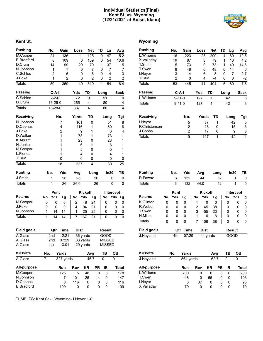# **Individual Statistics(Final) Kent St. vs. Wyoming (12/21/2021 at Boise, Idaho)**

# **Kent St. Wyoming**

| <b>Rushing</b>                |     | No.            | Gain           | Loss        |          | <b>Net</b>     | TD     | Lg             |     | Avg            |
|-------------------------------|-----|----------------|----------------|-------------|----------|----------------|--------|----------------|-----|----------------|
| M.Cooper                      |     | 24             | 136            | 11          |          | 125            | 0      | 47             |     | 5.2            |
| <b>B.Bradford</b>             |     | 8              | 109            |             | 0        | 109            | 0      | 54             |     | 13.6           |
| D.Crum                        |     | 14             | 99             | 29          |          | 70             | 1      | 37             |     | 5              |
| N.Johnson                     |     | 1              | 7              |             | 0        | 7              | 0      | 7              |     | 7              |
| C.Schlee                      |     | $\overline{2}$ | 6              |             | 0        | 6              | 0      | 4              |     | 3              |
| J.Poke                        |     | 1              | $\overline{2}$ |             | 0        | $\overline{2}$ | 0      | $\overline{c}$ |     | $\overline{c}$ |
| <b>Totals</b>                 |     | 50             | 359            | 40          |          | 319            | 1      | 54             |     | 6.4            |
| <b>Passing</b>                |     | $C-A-I$        |                | Yds         | TD       |                | Long   |                |     | <b>Sack</b>    |
| C.Schlee                      |     | $2 - 2 - 0$    |                | 72          | 0        |                |        | 51             |     | 0              |
| D.Crum                        |     | 16-26-0        |                | 265         | 4        |                |        | 80             |     | 4              |
| <b>Totals</b>                 |     | 18-28-0        |                | 337         | 4        |                |        | 80             |     | 4              |
| <b>Receiving</b>              |     |                | No.            | Yards       |          | TD             |        | Long           |     | <b>Tgt</b>     |
| N.Johnson                     |     |                | 7              | 101         |          | 0              |        | 51             |     | 8              |
| D.Cephas                      |     |                | 4              | 116         |          | 1              |        | 80             |     | 8              |
| J.Poke                        |     |                | 2              | 9           |          | 1              |        | 6              |     | $\overline{4}$ |
| D.Walker                      |     |                | 1              | 73          |          | 1              |        | 73             |     | 1              |
| K.Abram                       |     |                | 1              | 23          |          | 0              |        | 23             |     | 1              |
| H.Junker                      |     |                | 1              | 6           |          | 1              |        | 6              |     | 1              |
| M.Cooper                      |     |                | 1              | 5           |          | 0              |        | 5              |     | 1              |
| L.Floriea                     |     |                | 1              | 4           |          | 0              |        | 4              |     | 1              |
| <b>TEAM</b>                   |     |                | 0              | 0           |          | 0              |        | 0              |     | 0              |
| <b>Totals</b>                 |     |                | 18             | 337         |          | 4              |        | 80             |     | 25             |
| <b>Punting</b>                | No. |                | Yds            | Avg         |          | Long           |        | In20           |     | TВ             |
|                               |     |                |                |             |          |                |        |                |     |                |
| J.Smith                       |     | 1              | 26             | 26          |          | 26             |        | 0              |     | 0              |
| <b>Totals</b>                 |     | 1              | 26             | 26.0        |          | 26             |        | 0              |     | 0              |
|                               |     | Punt           |                |             | Kickoff  |                |        | Intercept      |     |                |
| Returns                       | No  | Yds            | Lg             | No          | Yds      | Lg             |        | No             | Yds | Lg             |
| M.Cooper                      | 0   | 0              | 0              | 2           | 48       | 24             |        | 0              | 0   | 0              |
| J.Poke                        | 0   | 0              | 0              | 4           | 94       | 31             |        | 0              | 0   | 0              |
| N.Johnson                     | 1   | 14             | 14             | 1           | 25       | 25             |        | 0              | 0   | 0              |
| Totals                        | 1   | 14             | 14             | 7           | 167      | 31             |        | 0              | 0   | 0              |
|                               |     |                |                |             |          |                |        |                |     |                |
| <b>Field goals</b>            |     | Qtr            | <b>Time</b>    | <b>Dist</b> |          |                |        | Result         |     |                |
| A.Glass                       |     | 2nd            | 12:21          |             | 36 yards |                |        | GOOD           |     |                |
| A.Glass                       |     | 2nd            | 07:29          |             | 33 yards |                |        | <b>MISSED</b>  |     |                |
| A.Glass                       |     | 4th            | 13:01          |             | 29 yards |                |        | <b>MISSED</b>  |     |                |
| <b>Kickoffs</b>               | No. |                | Yards          |             |          | Avg            |        | TВ             | OВ  |                |
| A.Glass                       | 7   |                | 327 yards      |             |          | 46.7           | 0      |                | 0   |                |
| <b>All-purpose</b>            |     |                | Run            | Rcv         | ΚR       | <b>PR</b>      |        | IR             |     | Total          |
| M.Cooper                      |     |                | 125            | 5           | 48       |                | 0      | 0              |     | 178            |
| N.Johnson                     |     |                | 7              | 101         | 25       | 14             |        | 0              |     | 147            |
| D.Cephas<br><b>B.Bradford</b> |     |                | 0<br>109       | 116<br>0    | 0<br>0   |                | 0<br>0 | 0<br>0         |     | 116<br>109     |

| Rushing       | No.          | Gain | Loss | <b>Net</b> | TD   | Lg | Avg  |
|---------------|--------------|------|------|------------|------|----|------|
| L.Williams    | 16           | 223  | 23   | 200        | 4    | 80 | 12.5 |
| X.Valladay    | 19           | 87   | 8    | 79         | 1    | 10 | 4.2  |
| T.Smith       | 5            | 73   | 0    | 73         | 1    | 49 | 14.6 |
| T.Swen        | 8            | 48   | 0    | 48         | 0    | 14 | 6    |
| I.Nevor       | 3            | 14   | 6    | 8          | 0    | 7  | 2.7  |
| TEAM          | 2            | 0    | 4    | $-4$       | 0    | 0  | $-2$ |
| Totals        | 53           | 445  | 41   | 404        | 6    | 80 | 7.6  |
| Passing       | $C-A-I$      |      | Yds  | TD         | Long |    | Sack |
| L.Williams    | $9 - 11 - 0$ |      | 127  | 1          |      | 42 | 3    |
| <b>Totals</b> | $9 - 11 - 0$ |      | 127  | 1          |      | 42 | 3    |

| Receiving     | No. | Yards | TD | Long | Tat |
|---------------|-----|-------|----|------|-----|
| I.Nevor       | 5   | 87    |    | 42   | 5   |
| P.Christensen | っ   | 23    |    | 15   | 3   |
| J.Cobbs       | っ   | 17    |    | 9    |     |
| Totals        | 9   | 127   |    | 42   |     |

| <b>Punting</b> | No. | Yds | Avg  | Long | ln20 | TB |
|----------------|-----|-----|------|------|------|----|
| R.Fawaz        |     | 132 | 44   | 52   |      |    |
| <b>Totals</b>  |     | 132 | 44.0 | 52   |      |    |

|                    |    | Punt |       |    | <b>Kickoff</b> |    |    | Intercept     |    |  |
|--------------------|----|------|-------|----|----------------|----|----|---------------|----|--|
| <b>Returns</b>     | No | Yds  | Lg    | No | Yds            | Lg | No | Yds           | Lg |  |
| K.Glinton          | 0  | 0    | 0     | 1  | 0              | 0  | 0  | 0             | 0  |  |
| R.Weber            | 0  | 0    | 0     | 2  | 45             | 38 | 0  | 0             | 0  |  |
| T.Swen             | 0  | 0    | 0     | 3  | 55             | 23 | 0  | 0             | 0  |  |
| N.Miles            | 0  | 0    | 0     | 1  | 6              | 6  | 0  | 0             | O  |  |
| <b>Totals</b>      | 0  | 0    | 0     | 7  | 106            | 38 | 0  | 0             | 0  |  |
| <b>Field goals</b> |    | Qtr  | Time  |    | Dist           |    |    | <b>Result</b> |    |  |
| J.Hoyland          |    | 4th  | 07:29 |    | 44 yards       |    |    | חמנ           |    |  |

| <b>Kickoffs</b> | No. | Yards     |     |    | Ava  | ΤВ | OВ    |  |
|-----------------|-----|-----------|-----|----|------|----|-------|--|
| J.Hoyland       | 9   | 564 yards |     |    | 62.7 | 2  | 0     |  |
| All-purpose     |     | Run       | Rcv | ΚR | PR.  | IR | Total |  |
| L.Williams      |     | 200       | 0   | 0  | O    | 0  | 200   |  |
| T.Swen          |     | 48        | 0   | 55 | 0    | 0  | 103   |  |
| I.Neyor         |     | 8         | 87  | 0  | 0    | 0  | 95    |  |
| X.Valladay      |     | 79        | 0   | 0  | 0    | 0  | 79    |  |

FUMBLES: Kent St.- . Wyoming- I.Neyor 1-0 .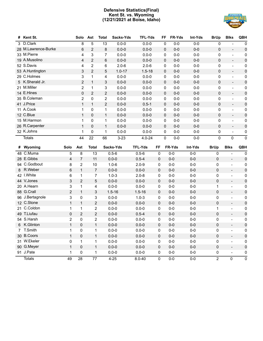# **Defensive Statistics(Final) Kent St. vs. Wyoming (12/21/2021 at Boise, Idaho)**



| #  | Kent St.            |                | Solo           | Ast            | <b>Total</b> | Sacks-Yds  | <b>TFL-Yds</b> | FF          | FR-Yds  | Int-Yds | <b>BrUp</b>    | <b>Blks</b>                          | QBH                 |
|----|---------------------|----------------|----------------|----------------|--------------|------------|----------------|-------------|---------|---------|----------------|--------------------------------------|---------------------|
|    | 3 D.Clark           |                | 8              | 5              | 13           | $0.0 - 0$  | $0.0 - 0$      | 0           | $0-0$   | $0-0$   | 0              |                                      | 0                   |
|    | 28 M.Lawrence-Burke |                | 6              | 2              | 8            | $0.0 - 0$  | $0.0 - 0$      | $\mathbf 0$ | $0-0$   | $0-0$   | 0              | $\overline{\phantom{a}}$             | $\pmb{0}$           |
|    | 33 M.Pierre         |                | 4              | 3              | 7            | $0.0 - 0$  | $0.0 - 0$      | 0           | $0-0$   | $0-0$   | 0              | $\overline{\phantom{0}}$             | 0                   |
|    | 19 A.Musolino       |                | 4              | 2              | 6            | $0.0 - 0$  | $0.0 - 0$      | 0           | $0-0$   | $0-0$   | $\mathbf 0$    | $\overline{\phantom{a}}$             | $\pmb{0}$           |
|    | 52 S.Davis          |                | 4              | $\overline{c}$ | 6            | $2.0 - 6$  | $2.0 - 6$      | 0           | $0-0$   | $0-0$   | 0              | $\overline{a}$                       | 0                   |
|    | 53 A.Huntington     |                | 3              | $\overline{2}$ | 5            | $1.0 - 17$ | $1.5 - 18$     | 0           | $0-0$   | $0-0$   | 0              | $\overline{\phantom{a}}$             | $\pmb{0}$           |
|    | 29 C.Holmes         |                | 3              | $\mathbf{1}$   | 4            | $0.0 - 0$  | $0.0 - 0$      | 0           | $0-0$   | $0-0$   | 0              | $\overline{\phantom{0}}$             | 0                   |
|    | 5 K.Sherald Jr.     |                | $\overline{2}$ | $\mathbf{1}$   | 3            | $0.0 - 0$  | $0.0 - 0$      | 0           | $0-0$   | $0-0$   | 0              | $\overline{\phantom{0}}$             | $\pmb{0}$           |
|    | 21 M.Miller         |                | $\overline{2}$ | 1              | 3            | $0.0 - 0$  | $0.0 - 0$      | 0           | $0-0$   | $0-0$   | 0              | $\overline{\phantom{0}}$             | 0                   |
|    | 14 E.Hines          |                | 0              | $\overline{c}$ | 2            | $0.0 - 0$  | $0.0 - 0$      | 0           | $0-0$   | $0-0$   | $\mathbf 0$    | $\overline{\phantom{a}}$             | $\pmb{0}$           |
|    | 35 B.Coleman        |                | $\overline{2}$ | 0              | 2            | $0.0 - 0$  | $0.0 - 0$      | 0           | $0-0$   | $0-0$   | 0              | $\overline{\phantom{0}}$             | 0                   |
|    | 41 J.Price          |                | $\mathbf{1}$   | $\mathbf{1}$   | 2            | $0.0 - 0$  | $0.5 - 1$      | 0           | $0-0$   | $0-0$   | $\mathbf 0$    | $\overline{\phantom{a}}$             | $\pmb{0}$           |
|    | 11 A.Cook           |                | 1              | 0              | 1            | $0.0 - 0$  | $0.0 - 0$      | 0           | $0-0$   | $0-0$   | 0              | $\overline{\phantom{a}}$             | $\pmb{0}$           |
|    | 12 C.Blue           |                | $\mathbf{1}$   | 0              | $\mathbf{1}$ | $0.0 - 0$  | $0.0 - 0$      | 0           | $0-0$   | $0-0$   | 0              | $\overline{\phantom{0}}$             | $\pmb{0}$           |
|    | 15 M.Harmon         |                | 1              | 0              | $\mathbf 1$  | $0.0 - 0$  | $0.0 - 0$      | 0           | $0-0$   | $0-0$   | 0              | $\overline{\phantom{0}}$             | $\pmb{0}$           |
|    | 26 R.Carpenter      |                | $\mathbf{1}$   | 0              | $\mathbf{1}$ | $0.0 - 0$  | $0.0 - 0$      | 0           | $0-0$   | $0-0$   | $\mathbf 0$    | $\overline{\phantom{0}}$             | $\pmb{0}$           |
|    | 32 K.Johns          |                | 1              | 0              | 1            | $0.0 - 0$  | $0.0 - 0$      | 0           | $0-0$   | $0-0$   | 0              | $\overline{\phantom{a}}$             | 0                   |
|    | <b>Totals</b>       |                | 44             | 22             | 66           | $3 - 23$   | $4.0 - 24$     | $\pmb{0}$   | $0-0$   | $0-0$   | 0              | $\mathbf 0$                          | $\mathbf 0$         |
| #  | Wyoming             | Solo           | Ast            | <b>Total</b>   |              | Sacks-Yds  | <b>TFL-Yds</b> | FF          | FR-Yds  | Int-Yds | <b>BrUp</b>    | <b>Blks</b>                          | QBH                 |
| 48 | C.Muma              | 5              | 8              | 13             |              | $0.5 - 6$  | $0.5 - 6$      | 0           | $0-0$   | $0-0$   | 0              | $\frac{1}{2}$                        | 0                   |
|    | 28 E.Gibbs          | 4              | 7              | 11             |              | $0.0 - 0$  | $0.5 - 4$      | 0           | $0 - 0$ | $0-0$   | 0              | $\blacksquare$                       | $\pmb{0}$           |
|    | 94 C.Godbout        | 8              | $\overline{2}$ | 10             |              | $1.0 - 6$  | $2.0 - 9$      | 0           | $0-0$   | $0-0$   | 0              | $\overline{\phantom{a}}$             | $\pmb{0}$           |
| 8  | R.Weber             | 6              | $\mathbf{1}$   | $\overline{7}$ |              | $0.0 - 0$  | $0.0 - 0$      | 0           | $0 - 0$ | $0-0$   | 0              | $\overline{\phantom{a}}$             | $\pmb{0}$           |
|    | 42 I.White          | 6              | 1              | 7              |              | $1.0 - 3$  | $2.0 - 8$      | 0           | $0-0$   | $0-0$   | 0              | $\blacksquare$                       | 0                   |
|    | 44 V.Jones          | 3              | $\overline{2}$ | 5              |              | $0.0 - 0$  | $0.0 - 0$      | 0           | $0 - 0$ | $0-0$   | 0              | $\overline{\phantom{a}}$             | $\pmb{0}$           |
|    | 20 A.Hearn          | 3              | 1              | 4              |              | $0.0 - 0$  | $0.0 - 0$      | 0           | $0-0$   | $0-0$   | 1              | $\blacksquare$                       | 0                   |
|    | 88 G.Crall          | $\overline{2}$ | $\mathbf{1}$   | 3              |              | $1.5 - 16$ | $1.5 - 16$     | 0           | $0-0$   | $0-0$   | 0              | $\Box$                               | $\pmb{0}$           |
|    | 96 J.Bertagnole     | 3              | 0              | 3              |              | $0.0 - 0$  | $1.0 - 3$      | 0           | $0-0$   | $0-0$   | 0              | $\blacksquare$                       | 0                   |
|    | 12 C.Stone          | $\mathbf{1}$   | $\mathbf{1}$   | $\overline{2}$ |              | $0.0 - 0$  | $0.0 - 0$      | 0           | $0-0$   | $0-0$   | 0              | $\overline{a}$                       | $\pmb{0}$           |
| 21 | C.Coldon            | 1              | 1              | 2              |              | $0.0 - 0$  | $0.0 - 0$      | 0           | $0-0$   | $0-0$   | 1              | $\overline{\phantom{a}}$             | 0                   |
|    | 49 T.Liufau         | 0              | $\overline{2}$ | $\overline{2}$ |              | $0.0 - 0$  | $0.5 - 4$      | 0           | $0-0$   | $0-0$   | 0              | $\overline{\phantom{a}}$             | $\pmb{0}$           |
|    | 54 S.Harsh          | 2              | $\Omega$       | 2              |              | $0.0 - 0$  | $0.0 - 0$      | 0           | $0-0$   | $0-0$   | 0              | $\blacksquare$                       | 0                   |
|    | 6 K.Glinton         | $\mathbf{1}$   | 0              | $\mathbf{1}$   |              | $0.0 - 0$  | $0.0 - 0$      | 0           | $0 - 0$ | $0-0$   | 0              | $\overline{a}$                       | $\pmb{0}$           |
|    | 7 T.Smith           | 1              | 0              | 1              |              | $0.0 - 0$  | $0.0 - 0$      | 0           | $0-0$   | $0-0$   | 0              | $\overline{\phantom{0}}$             | 0                   |
|    | 30 B.Coors          | $\mathbf{1}$   | 0              | $\mathbf{1}$   |              | $0.0 - 0$  | $0.0 - 0$      | 0           | $0-0$   | $0-0$   | 0              | $\Box$                               | $\pmb{0}$           |
|    | 31 W.Ekeler         | 0              | 1              | $\mathbf 1$    |              | $0.0 - 0$  | $0.0 - 0$      | 0           | $0-0$   | $0-0$   | 0              | $\blacksquare$                       | 0                   |
|    | 90 G.Meyer          | $\mathbf{1}$   | 0              | $\mathbf{1}$   |              | $0.0 - 0$  | $0.0 - 0$      | 0           | $0-0$   | $0-0$   | 0              | $\mathbf{r} = \mathbf{r} \mathbf{r}$ | $\pmb{0}$           |
|    | 91 J.Pate           | 1              | 0              | 1              |              | $0.0 - 0$  | $0.0 - 0$      | 0           | $0-0$   | $0-0$   | 0              | $\blacksquare$                       | 0                   |
|    | <b>Totals</b>       | 49             | 28             | 77             |              | $4 - 25$   | $8.0 - 40$     | $\pmb{0}$   | $0-0$   | $0-0$   | $\overline{2}$ | $\pmb{0}$                            | $\mathsf{O}\xspace$ |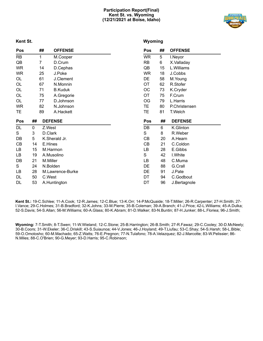# **Participation Report(Final) Kent St. vs. Wyoming (12/21/2021 at Boise, Idaho)**



**Kent St.**

# **Wyoming**

| Pos       |    | ##       | <b>OFFENSE</b>   | Pos       | ## | <b>OFFENSE</b> |
|-----------|----|----------|------------------|-----------|----|----------------|
| RB        |    | 1        | M.Cooper         | <b>WR</b> | 5  | I.Neyor        |
| QB        |    | 7        | D.Crum           | RB        | 6  | X.Valladay     |
| <b>WR</b> |    | 14       | D.Cephas         | QB        | 15 | L.Williams     |
| <b>WR</b> |    | 25       | J.Poke           | <b>WR</b> | 18 | J.Cobbs        |
| OL        |    | 61       | J.Clement        | DE        | 58 | M.Young        |
| OL        |    | 67       | N.Monnin         | <b>OT</b> | 62 | R.Stofer       |
| OL        |    | 71       | <b>B.Kuduk</b>   | ОC        | 73 | K.Cryder       |
| OL        |    | 75       | A.Gregorie       | <b>OT</b> | 75 | F.Crum         |
| OL        |    | 77       | D.Johnson        | OG        | 79 | L.Harris       |
| WR        |    | 82       | N.Johnson        | TE        | 80 | P.Christensen  |
| TE        |    | 89       | A.Hackett        | TE        | 81 | T.Welch        |
|           |    |          |                  |           |    |                |
| Pos       | ## |          | <b>DEFENSE</b>   | Pos       | ## | <b>DEFENSE</b> |
| DL        | 0  | Z.West   |                  | DB        | 6  | K.Glinton      |
| S         | 3  | D.Clark  |                  | S         | 8  | R.Weber        |
| DB        | 5  |          | K.Sherald Jr.    | CВ        | 20 | A.Hearn        |
| CB        | 14 | E.Hines  |                  | СB        | 21 | C.Coldon       |
| LB        | 15 |          | M.Harmon         | LB        | 28 | E.Gibbs        |
| LB        | 19 |          | A.Musolino       | S         | 42 | I.White        |
| DB        | 21 | M.Miller |                  | LB        | 48 | C.Muma         |
| S         | 24 |          | N.Bolden         | DE        | 88 | G.Crall        |
| LВ        | 28 |          | M.Lawrence-Burke | DE        | 91 | J.Pate         |
| DL        | 50 | C.West   |                  | DT        | 94 | C.Godbout      |

**Kent St.:** 19-C.Schlee; 11-A.Cook; 12-R.James; 12-C.Blue; 13-K.Orr; 14-P.McQuaide; 18-T.Miller; 26-R.Carpenter; 27-H.Smith; 27- I.Vance; 29-C.Holmes; 31-B.Bradford; 32-K.Johns; 33-M.Pierre; 35-B.Coleman; 39-A.Branch; 41-J.Price; 42-L.Williams; 45-A.Dulka; 52-S.Davis; 54-S.Allan; 56-M.Williams; 60-A.Glass; 80-K.Abram; 81-D.Walker; 83-N.Buntin; 87-H.Junker; 88-L.Floriea; 96-J.Smith;

**Wyoming:** 7-T.Smith; 8-T.Swen; 11-W.Wieland; 12-C.Stone; 25-B.Harrington; 26-B.Smith; 27-R.Fawaz; 29-C.Cooley; 30-D.McNeely; 30-B.Coors; 31-W.Ekeler; 36-C.Driskill; 43-S.Suiaunoa; 44-V.Jones; 46-J.Hoyland; 49-T.Liufau; 53-C.Shay; 54-S.Harsh; 58-L.Bible; 59-O.Omotosho; 60-M.Machado; 65-Z.Watts; 76-E.Pregnon; 77-N.Tulafono; 78-A.Velazquez; 82-J.Marcotte; 83-W.Pelissier; 86- N.Miles; 88-C.O'Brien; 90-G.Meyer; 93-D.Harris; 95-C.Robinson;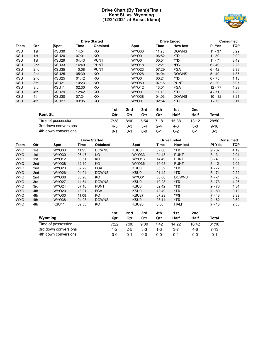# **Drive Chart (By Team)(Final) Kent St. vs. Wyoming (12/21/2021 at Boise, Idaho)**



|            |                 |                   |       | <b>Drive Started</b> |                   | <b>Drive Ended</b> |                 | Consumed      |            |  |
|------------|-----------------|-------------------|-------|----------------------|-------------------|--------------------|-----------------|---------------|------------|--|
| Team       | Qtr             | Spot              | Time  | <b>Obtained</b>      | Spot              | Time               | <b>How lost</b> | <b>PI-Yds</b> | <b>TOP</b> |  |
| <b>KSU</b> | 1st             | KSU30             | 14:54 | KO                   | WYO33             | 11:25              | <b>DOWNS</b>    | $11 - 37$     | 3:29       |  |
| <b>KSU</b> | 1st             | KSU <sub>20</sub> | 07:01 | KO                   | WYO0              | 06:52              | $*TD$           | - 80          | 0:09       |  |
| <b>KSU</b> | 1st             | KSU <sub>29</sub> | 04:43 | <b>PUNT</b>          | WYO0              | 00:54              | *TD             | $11 - 71$     | 3:49       |  |
| <b>KSU</b> | 2nd             | KSU33             | 14:49 | <b>PUNT</b>          | WYO <sub>18</sub> | 12:21              | *FG             | $6 - 49$      | 2:28       |  |
| <b>KSU</b> | 2nd             | KSU35             | 10:08 | <b>PUNT</b>          | WYO <sub>23</sub> | 07:29              | <b>FGA</b>      | $6 - 42$      | 2:39       |  |
| <b>KSU</b> | 2 <sub>nd</sub> | KSU <sub>25</sub> | 05:39 | KO                   | WYO <sub>26</sub> | 04:04              | <b>DOWNS</b>    | $5 - 49$      | 1:35       |  |
| <b>KSU</b> | 2nd             | KSU <sub>25</sub> | 01:42 | KO                   | WYO0              | 00:24              | *TD             | $6 - 75$      | 1:18       |  |
| <b>KSU</b> | 3rd             | KSU <sub>21</sub> | 10:23 | KO                   | WYO <sub>50</sub> | 07:16              | <b>PUNT</b>     | $8 - 29$      | 3:07       |  |
| <b>KSU</b> | 3rd             | KSU <sub>11</sub> | 02:30 | KO                   | WYO <sub>12</sub> | 13:01              | <b>FGA</b>      | $12 - 77$     | 4:29       |  |
| <b>KSU</b> | 4th             | KSU <sub>29</sub> | 12:42 | KO                   | WYO0              | 11:13              | *TD             | $4 - 71$      | 1:29       |  |
| <b>KSU</b> | 4th             | KSU30             | 07:24 | KO                   | WYO38             | 04:03              | <b>DOWNS</b>    | $10 - 32$     | 3:21       |  |
| <b>KSU</b> | 4th             | KSU <sub>27</sub> | 03:05 | KO                   | WYO0              | 02:54              | $*TD$           | $1 - 73$      | 0:11       |  |

| Kent St.             | 1st<br>Qtr | 2nd<br>Qtr | 3rd<br>Qtr | 4th<br>Qtr | 1st<br>Half | 2nd<br>Half | Total    |
|----------------------|------------|------------|------------|------------|-------------|-------------|----------|
| Time of possession   | 7:38       | 8:00       | 5:54       | 7:18       | 15:38       | 13:12       | 28:50    |
| 3rd down conversions | 4-5        | $0 - 3$    | $3-4$      | $2 - 4$    | $4-8$       | $5-8$       | $9 - 16$ |
| 4th down conversions | በ-1        | በ-1        | ი-ი        | $0 - 1$    | $0 - 2$     | በ-1         | $0 - 3$  |

|            |                 |                   |       | <b>Drive Started</b> |     |             | <b>Drive Ended</b> |       |                 |     |               | <b>Consumed</b> |  |  |
|------------|-----------------|-------------------|-------|----------------------|-----|-------------|--------------------|-------|-----------------|-----|---------------|-----------------|--|--|
| Team       | Qtr             | <b>Spot</b>       | Time  | <b>Obtained</b>      |     | <b>Spot</b> |                    | Time  | <b>How lost</b> |     | <b>PI-Yds</b> | <b>TOP</b>      |  |  |
| <b>WYO</b> | 1st             | WYO33             | 11:25 | <b>DOWNS</b>         |     | KSU0        |                    | 07:06 | *TD             |     | $9 - 67$      | 4:19            |  |  |
| <b>WYO</b> | 1st             | WYO30             | 06:47 | KO.                  |     |             | WYO33              | 04:43 | <b>PUNT</b>     |     | $3 - 3$       | 2:04            |  |  |
| <b>WYO</b> | 1st             | WYO <sub>12</sub> | 00:51 | KO.                  |     |             | WYO16              | 14:49 | <b>PUNT</b>     |     | $3 - 4$       | 1:02            |  |  |
| <b>WYO</b> | 2 <sub>nd</sub> | WYO38             | 12:10 | KO                   |     |             | WYO36              | 10:08 | <b>PUNT</b>     |     | $3 - -2$      | 2:02            |  |  |
| <b>WYO</b> | 2nd             | WYO <sub>23</sub> | 07:29 | <b>FGA</b>           |     | KSU0        |                    | 05:39 | *TD             |     | $4 - 77$      | 1:50            |  |  |
| <b>WYO</b> | 2 <sub>nd</sub> | WYO <sub>26</sub> | 04:04 | <b>DOWNS</b>         |     | KSU0        |                    | 01:42 | *TD             |     | $5 - 74$      | 2:22            |  |  |
| <b>WYO</b> | 2 <sub>nd</sub> | WYO38             | 00:20 | KO.                  |     |             | WYO31              | 00:00 | <b>DOWNS</b>    |     | 4 - -7        | 0:20            |  |  |
| <b>WYO</b> | 3rd             | WYO <sub>27</sub> | 14:54 | <b>DOWNS</b>         |     | KSU0        |                    | 10:28 | $*TD$           |     | $8 - 73$      | 4:26            |  |  |
| <b>WYO</b> | 3rd             | WYO <sub>24</sub> | 07:16 | <b>PUNT</b>          |     | KSU0        |                    | 02:42 | *TD             |     | $9 - 76$      | 4:34            |  |  |
| <b>WYO</b> | 4th             | WYO <sub>20</sub> | 13:01 | <b>FGA</b>           |     | KSU0        |                    | 12:49 | *TD             |     | $1 - 80$      | 0:12            |  |  |
| <b>WYO</b> | 4th             | WYO30             | 11:08 | KO.                  |     |             | KSU <sub>27</sub>  | 07:29 | *FG             |     | $7 - 43$      | 3:39            |  |  |
| <b>WYO</b> | 4th             | WYO38             | 04:03 | <b>DOWNS</b>         |     | KSU0        |                    | 03:11 | *TD             |     | $2 - 62$      | 0:52            |  |  |
| <b>WYO</b> | 4th             | KSU41             | 02:53 | KO                   |     |             | KSU <sub>28</sub>  | 0:00  | <b>HALF</b>     |     | $7 - 13$      | 2:53            |  |  |
|            |                 |                   |       |                      | 1st | 2nd         | 3rd                | 4th   | 1st             | 2nd |               |                 |  |  |

|                      | .    | ----    | . .   | ----    | .       | ----  |       |  |
|----------------------|------|---------|-------|---------|---------|-------|-------|--|
| Wyoming              | Qtr  | Qtr     | Qtr   | Qtr     | Half    | Half  | Total |  |
| Time of possession   | 7:22 | 7:00    | 9:00  | 7:42    | 14:22   | 16:42 | 31:10 |  |
| 3rd down conversions | 1-2  | $2 - 5$ | $3-3$ | $1 - 3$ | $3 - 7$ | 4-6   | 7-13  |  |
| 4th down conversions | ი-ი  | በ-1     | 0-0   | 0-0     | 0-1     | ი-ი   | 0-1   |  |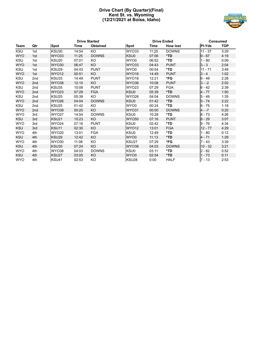# **Drive Chart (By Quarter)(Final) Kent St. vs. Wyoming (12/21/2021 at Boise, Idaho)**



|            | <b>Drive Started</b> |                   |       |                 |                   | <b>Drive Ended</b> |                 | <b>Consumed</b> |            |  |
|------------|----------------------|-------------------|-------|-----------------|-------------------|--------------------|-----------------|-----------------|------------|--|
| Team       | Qtr                  | <b>Spot</b>       | Time  | <b>Obtained</b> | <b>Spot</b>       | Time               | <b>How lost</b> | <b>PI-Yds</b>   | <b>TOP</b> |  |
| <b>KSU</b> | 1st                  | KSU30             | 14:54 | KO              | WYO33             | 11:25              | <b>DOWNS</b>    | $11 - 37$       | 3:29       |  |
| <b>WYO</b> | 1st                  | WYO33             | 11:25 | <b>DOWNS</b>    | KSU0              | 07:06              | $*TD$           | $9 - 67$        | 4:19       |  |
| <b>KSU</b> | 1st                  | KSU <sub>20</sub> | 07:01 | KO              | WYO0              | 06:52              | *TD             | $1 - 80$        | 0:09       |  |
| <b>WYO</b> | 1st                  | <b>WYO30</b>      | 06:47 | <b>KO</b>       | WYO33             | 04:43              | <b>PUNT</b>     | $3 - 3$         | 2:04       |  |
| <b>KSU</b> | 1st                  | KSU29             | 04:43 | <b>PUNT</b>     | WYO0              | 00:54              | *TD             | $11 - 71$       | 3:49       |  |
| <b>WYO</b> | 1st                  | WYO <sub>12</sub> | 00:51 | KO.             | WYO16             | 14:49              | <b>PUNT</b>     | $3 - 4$         | 1:02       |  |
| <b>KSU</b> | 2 <sub>nd</sub>      | KSU33             | 14:49 | <b>PUNT</b>     | WYO18             | 12:21              | *FG             | $6 - 49$        | 2:28       |  |
| <b>WYO</b> | 2 <sub>nd</sub>      | WYO38             | 12:10 | KO              | WYO36             | 10:08              | <b>PUNT</b>     | $3 - -2$        | 2:02       |  |
| <b>KSU</b> | 2nd                  | KSU35             | 10:08 | <b>PUNT</b>     | WYO <sub>23</sub> | 07:29              | <b>FGA</b>      | $6 - 42$        | 2:39       |  |
| <b>WYO</b> | 2 <sub>nd</sub>      | WYO23             | 07:29 | <b>FGA</b>      | KSU0              | 05:39              | *TD             | $4 - 77$        | 1:50       |  |
| <b>KSU</b> | 2 <sub>nd</sub>      | KSU25             | 05:39 | KO              | <b>WYO26</b>      | 04:04              | <b>DOWNS</b>    | $5 - 49$        | 1:35       |  |
| <b>WYO</b> | 2 <sub>nd</sub>      | WYO26             | 04:04 | <b>DOWNS</b>    | KSU0              | 01:42              | *TD             | $5 - 74$        | 2:22       |  |
| <b>KSU</b> | 2 <sub>nd</sub>      | KSU <sub>25</sub> | 01:42 | KO              | WYO0              | 00:24              | *TD             | $6 - 75$        | 1:18       |  |
| <b>WYO</b> | 2 <sub>nd</sub>      | WYO38             | 00:20 | <b>KO</b>       | WYO31             | 00:00              | <b>DOWNS</b>    | $4 - -7$        | 0:20       |  |
| <b>WYO</b> | 3rd                  | <b>WYO27</b>      | 14:54 | <b>DOWNS</b>    | KSU0              | 10:28              | *TD             | $8 - 73$        | 4:26       |  |
| <b>KSU</b> | 3rd                  | KSU <sub>21</sub> | 10:23 | KO.             | <b>WYO50</b>      | 07:16              | <b>PUNT</b>     | $8 - 29$        | 3:07       |  |
| <b>WYO</b> | 3rd                  | WYO24             | 07:16 | <b>PUNT</b>     | KSU0              | 02:42              | *TD             | $9 - 76$        | 4:34       |  |
| <b>KSU</b> | 3rd                  | KSU <sub>11</sub> | 02:30 | KO.             | WYO <sub>12</sub> | 13:01              | <b>FGA</b>      | $12 - 77$       | 4:29       |  |
| <b>WYO</b> | 4th                  | <b>WYO20</b>      | 13:01 | <b>FGA</b>      | KSU0              | 12:49              | *TD             | $1 - 80$        | 0:12       |  |
| <b>KSU</b> | 4th                  | KSU29             | 12:42 | KO              | WYO0              | 11:13              | *TD             | $4 - 71$        | 1:29       |  |
| <b>WYO</b> | 4th                  | <b>WYO30</b>      | 11:08 | KO              | KSU27             | 07:29              | *FG             | $7 - 43$        | 3:39       |  |
| <b>KSU</b> | 4th                  | KSU30             | 07:24 | KO              | WYO38             | 04:03              | <b>DOWNS</b>    | $10 - 32$       | 3:21       |  |
| <b>WYO</b> | 4th                  | WYO38             | 04:03 | <b>DOWNS</b>    | KSU0              | 03:11              | *TD             | $2 - 62$        | 0:52       |  |
| <b>KSU</b> | 4th                  | KSU27             | 03:05 | KO.             | WYO0              | 02:54              | *TD             | $1 - 73$        | 0:11       |  |
| <b>WYO</b> | 4th                  | KSU41             | 02:53 | KO              | KSU <sub>28</sub> | 0:00               | <b>HALF</b>     | $7 - 13$        | 2:53       |  |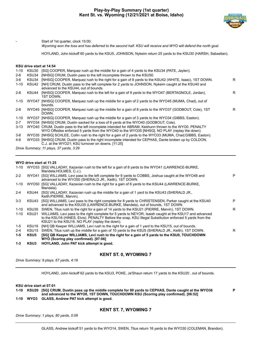

**P**

Start of 1st quarter, clock 15:00.

*Wyoming won the toss and has deferred to the second half. KSU will receive and WYO will defend the north goal.*

HOYLAND, John kickoff 60 yards to the KSU5, JOHNSON, Nykeim return 25 yards to the KSU30 (HARSH, Sabastian).

# **KSU drive start at 14:54**

| $1 - 10$ | KSU30      | [SG] COOPER, Marquez rush up the middle for a gain of 4 yards to the KSU34 (PATE, Jaylen).                                                                                                             |    |
|----------|------------|--------------------------------------------------------------------------------------------------------------------------------------------------------------------------------------------------------|----|
| $2 - 6$  | KSU34      | [NHSG] CRUM, Dustin pass to the left incomplete thrown to the KSU50.                                                                                                                                   |    |
| $3-6$    | KSU34      | [NHSG] COOPER, Marguez rush to the right for a gain of 8 yards to the KSU42 (WHITE, Isaac), 1ST DOWN.                                                                                                  | R. |
| $1 - 10$ | KSU42      | [NH] CRUM, Dustin pass to the left complete for 2 yards to JOHNSON, Nykeim caught at the KSU40 and<br>advanced to the KSU44, out of bounds.                                                            |    |
| $2 - 8$  | KSU44      | [NHSG] COOPER, Marquez rush to the left for a gain of 9 yards to the WYO47 (BERTAGNOLE, Jordan),<br>1ST DOWN.                                                                                          | R. |
|          | 1-10 WYO47 | [NHSG] COOPER, Marguez rush up the middle for a gain of 2 yards to the WYO45 (MUMA, Chad), out of<br>bounds.                                                                                           |    |
| $2 - 8$  |            | WYO45 [NHSG] COOPER, Marguez rush up the middle for a gain of 8 yards to the WYO37 (GODBOUT, Cole), 1ST<br>DOWN.                                                                                       | R  |
| 1-10     |            | WYO37 [NHSG] COOPER, Marquez rush up the middle for a gain of 3 yards to the WYO34 (GIBBS, Easton).                                                                                                    |    |
| $2 - 7$  |            | WYO34 [NHSG] CRUM, Dustin sacked for a loss of 6 yards at the WYO40 (GODBOUT, Cole).                                                                                                                   |    |
| 3-13     |            | WYO40 CRUM, Dustin pass to the left incomplete intended for ABRAM, Keshunn thrown to the WYO0. PENALTY<br>WYO Offsides enforced 5 yards from the WYO40 to the WYO35 [NHSG]. NO PLAY (replay the down). |    |
| 3-8      |            | WYO35 [NHSG] SCHLEE, Collin rush to the right for a gain of 2 yards to the WYO33 (MUMA, Chad; GIBBS, Easton).                                                                                          |    |
| 4-6      |            | WYO33 [NHSG] CRUM, Dustin pass to the right incomplete intended for CEPHAS, Dante broken up by COLDON,<br>C.J. at the WYO21; KSU turnover on downs. [11:25]                                            |    |
|          |            | Drive Summary: 11 plays, 37 yards, 3:29                                                                                                                                                                |    |

**WYO drive start at 11:25**

|          |                   | wyu drive start at 11:25                                                                                                                                                                                                                                                    |   |
|----------|-------------------|-----------------------------------------------------------------------------------------------------------------------------------------------------------------------------------------------------------------------------------------------------------------------------|---|
| $1 - 10$ |                   | WYO33 [SG] VALLADAY, Xazavian rush to the left for a gain of 8 yards to the WYO41 (LAWRENCE-BURKE,<br>Mandela; HOLMES, C.J.).                                                                                                                                               |   |
| $2 - 2$  |                   | WYO41 [SG] WILLIAMS, Levi pass to the left complete for 9 yards to COBBS, Joshua caught at the WYO48 and<br>advanced to the WYO50 (SHERALD JR., Keith), 1ST DOWN.                                                                                                           | P |
| 1-10     |                   | WYO50 [SG] VALLADAY, Xazavian rush to the right for a gain of 6 yards to the KSU44 (LAWRENCE-BURKE,<br>Mandela).                                                                                                                                                            |   |
| $2 - 4$  | KSU44             | [SG] VALLADAY, Xazavian rush up the middle for a gain of 1 yard to the KSU43 (SHERALD JR.,<br>Keith; PIERRE, Marvin).                                                                                                                                                       |   |
| $3 - 3$  | KSU43             | [SG] WILLIAMS, Levi pass to the right complete for 8 yards to CHRISTENSEN, Parker caught at the KSU40<br>and advanced to the KSU35 (LAWRENCE-BURKE, Mandela), out of bounds, 1ST DOWN.                                                                                      | P |
| $1 - 10$ | KSU35             | SWEN, Titus rush to the right for a gain of 14 yards to the KSU21 (PIERRE, Marvin), 1ST DOWN.                                                                                                                                                                               | R |
| $1 - 10$ |                   | KSU21 WILLIAMS, Levi pass to the right complete for 5 yards to NEYOR, Isaiah caught at the KSU17 and advanced<br>to the KSU16 (HINES, Elvis). PENALTY Before the snap, KSU Illegal Substitution enforced 5 yards from the<br>KSU21 to the KSU16. NO PLAY (replay the down). |   |
| $1-5$    | KSU16             | [NH] QB Keeper WILLIAMS, Levi rush to the right for a gain of 1 yard to the KSU15, out of bounds.                                                                                                                                                                           |   |
| $2 - 4$  | KSU <sub>15</sub> | SWEN, Titus rush up the middle for a gain of 10 yards to the KSU5 (SHERALD JR., Keith), 1ST DOWN.                                                                                                                                                                           | R |
| $1-5$    | KSU5              | [SG] QB Keeper WILLIAMS, Levi rush to the right for a gain of 5 yards to the KSU0, TOUCHDOWN<br>WYO (Scoring play confirmed). [07:06]                                                                                                                                       |   |
| 1-3      | KSU3              | HOYLAND, John PAT kick attempt is good.                                                                                                                                                                                                                                     |   |
|          |                   |                                                                                                                                                                                                                                                                             |   |

# **KENT ST. 0, WYOMING 7**

*Drive Summary: 9 plays, 67 yards, 4:19*

HOYLAND, John kickoff 62 yards to the KSU3, POKE, Ja'Shaun return 17 yards to the KSU20 , out of bounds.

**KSU drive start at 07:01**

**1-10 KSU20 [SG] CRUM, Dustin pass up the middle complete for 80 yards to CEPHAS, Dante caught at the WYO36 and advanced to the WYO0, 1ST DOWN, TOUCHDOWN KSU (Scoring play confirmed). [06:52]**

**1-10 WYO3 GLASS, Andrew PAT kick attempt is good.**

*Drive Summary: 1 plays, 80 yards, 0:09*

# **KENT ST. 7, WYOMING 7**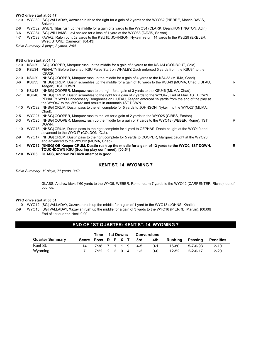# **WYO drive start at 06:47**

- 1-10 WYO30 [SG] VALLADAY, Xazavian rush to the right for a gain of 2 yards to the WYO32 (PIERRE, Marvin;DAVIS, Saivon).
- 2-8 WYO32 SWEN, Titus rush up the middle for a gain of 2 yards to the WYO34 (CLARK, Dean;HUNTINGTON, Adin).
- 3-6 WYO34 [SG] WILLIAMS, Levi sacked for a loss of 1 yard at the WYO33 (DAVIS, Saivon).
- 4-7 WYO33 FAWAZ, Ralph punt 52 yards to the KSU15, JOHNSON, Nykeim return 14 yards to the KSU29 (EKELER, Wyett;STONE, Cameron). [04:43]

*Drive Summary: 3 plays, 3 yards, 2:04*

# **KSU drive start at 04:43**

| 1-10     | KSU29 | [SG] COOPER, Marquez rush up the middle for a gain of 5 yards to the KSU34 (GODBOUT, Cole).                                                                                                                                                                                   |    |
|----------|-------|-------------------------------------------------------------------------------------------------------------------------------------------------------------------------------------------------------------------------------------------------------------------------------|----|
| $2 - 5$  | KSU34 | PENALTY Before the snap, KSU False Start on WHALEY, Zach enforced 5 yards from the KSU34 to the<br>KSU29.                                                                                                                                                                     |    |
| $2 - 10$ | KSU29 | [NHSG] COOPER, Marquez rush up the middle for a gain of 4 yards to the KSU33 (MUMA, Chad).                                                                                                                                                                                    |    |
| 3-6      | KSU33 | [NHSG] CRUM, Dustin scrambles up the middle for a gain of 10 yards to the KSU43 (MUMA, Chad;LIUFAU,<br>Teagan), 1ST DOWN.                                                                                                                                                     | R  |
| $1 - 10$ |       | KSU43 [NHSG] COOPER, Marquez rush to the right for a gain of 3 yards to the KSU46 (MUMA, Chad).                                                                                                                                                                               |    |
| $2 - 7$  |       | KSU46 [NHSG] CRUM, Dustin scrambles to the right for a gain of 7 yards to the WYO47, End of Play, 1ST DOWN.<br>PENALTY WYO Unnecessary Roughness on LIUFAU, Teagan enforced 15 yards from the end of the play at<br>the WYO47 to the WYO32 and results in automatic 1ST DOWN. | R. |
| 1-10     |       | WYO32 [NHSG] CRUM, Dustin pass to the left complete for 5 yards to JOHNSON, Nykeim to the WYO27 (MUMA,<br>Chad).                                                                                                                                                              |    |
| $2 - 5$  |       | WYO27 [NHSG] COOPER, Marguez rush to the left for a gain of 2 yards to the WYO25 (GIBBS, Easton).                                                                                                                                                                             |    |
| $3 - 3$  |       | WYO25 [NHSG] COOPER, Marguez rush up the middle for a gain of 7 yards to the WYO18 (WEBER, Rome), 1ST<br>DOWN.                                                                                                                                                                | R. |
| 1-10     |       | WYO18 [NHSG] CRUM, Dustin pass to the right complete for 1 yard to CEPHAS, Dante caught at the WYO19 and<br>advanced to the WYO17 (COLDON, C.J.).                                                                                                                             |    |
| $2 - 9$  |       | WYO17 [NHSG] CRUM, Dustin pass to the right complete for 5 yards to COOPER, Marguez caught at the WYO20<br>and advanced to the WYO12 (MUMA, Chad).                                                                                                                            |    |
| 3-4      |       | WYO12 [NHSG] QB Keeper CRUM, Dustin rush up the middle for a gain of 12 yards to the WYO0, 1ST DOWN,<br>TOUCHDOWN KSU (Scoring play confirmed). [00:54]                                                                                                                       | R  |
|          |       | 1-10 WYO3 GLASS, Andrew PAT kick attempt is good.                                                                                                                                                                                                                             |    |

# **KENT ST. 14, WYOMING 7**

*Drive Summary: 11 plays, 71 yards, 3:49*

GLASS, Andrew kickoff 60 yards to the WYO5, WEBER, Rome return 7 yards to the WYO12 (CARPENTER, Richie), out of bounds.

## **WYO drive start at 00:51**

- 1-10 WYO12 [SG] VALLADAY, Xazavian rush up the middle for a gain of 1 yard to the WYO13 (JOHNS, Khalib).
- 2-9 WYO13 [SG] VALLADAY, Xazavian rush up the middle for a gain of 3 yards to the WYO16 (PIERRE, Marvin). [00:00]
- End of 1st quarter, clock 0:00.

# **END OF 1ST QUARTER: KENT ST. 14, WYOMING 7**

|                        |                    |                                        | Time 1st Downs |  | <b>Conversions</b> |         |         |         |                  |                  |
|------------------------|--------------------|----------------------------------------|----------------|--|--------------------|---------|---------|---------|------------------|------------------|
| <b>Quarter Summary</b> | Score Poss R P X T |                                        |                |  |                    | 3rd     | 4th     | Rushina | Passing          | <b>Penalties</b> |
| Kent St.               |                    | 7:38 7 1 1 9 4-5                       |                |  |                    |         | $0 - 1$ | 16-80   | 5-7-0-93         | $2 - 10$         |
| Wyoming                |                    | $7:22 \quad 2 \quad 2 \quad 0 \quad 4$ |                |  |                    | $1 - 2$ | $0 - 0$ | 12-52   | $2 - 2 - 0 - 17$ | $2 - 20$         |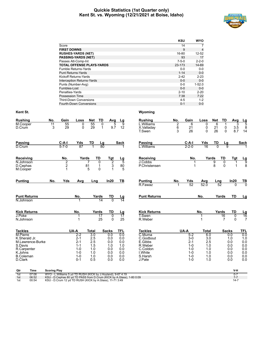# **Quickie Statistics (1st Quarter only) Kent St. vs. Wyoming (12/21/2021 at Boise, Idaho)**



|                                   | <b>KSU</b>  | <b>WYO</b>     |
|-----------------------------------|-------------|----------------|
| Score                             | 14          | 7              |
| <b>FIRST DOWNS</b>                | 9           | $\overline{4}$ |
| <b>RUSHES-YARDS (NET)</b>         | 16-80       | 12-52          |
| <b>PASSING-YARDS (NET)</b>        | 93          | 17             |
| Passes Att-Comp-Int               | $7 - 5 - 0$ | $2 - 2 - 0$    |
| <b>TOTAL OFFENSE PLAYS-YARDS</b>  | 23-173      | 14-69          |
| Fumble Returns-Yards              | $0 - 0$     | $0-0$          |
| <b>Punt Returns-Yards</b>         | $1 - 14$    | $0 - 0$        |
| Kickoff Returns-Yards             | $2 - 42$    | $2 - 23$       |
| <b>Interception Returns-Yards</b> | $0 - 0$     | $0 - 0$        |
| Punts (Number-Avg)                | $0 - 0$     | $1 - 52.0$     |
| Fumbles-Lost                      | $0 - 0$     | $0 - 0$        |
| Penalties-Yards                   | $2 - 10$    | $2 - 20$       |
| Possession Time                   | 7:38        | 7:22           |
| <b>Third-Down Conversions</b>     | $4 - 5$     | $1 - 2$        |
| Fourth-Down Conversions           | $0 - 1$     | $0 - 0$        |
|                                   |             |                |

| No.             |             | Loss                              | Net                                                          | TD                                                             | Avg                                                                                                |                                                                                  | <b>Rushing</b>                                                                                                                                    | No.                                                                                                                                   |             | Loss                                                                                     | <b>Net</b>            | TD                                                                              | Avg                                                                                    |                                                                                                  |
|-----------------|-------------|-----------------------------------|--------------------------------------------------------------|----------------------------------------------------------------|----------------------------------------------------------------------------------------------------|----------------------------------------------------------------------------------|---------------------------------------------------------------------------------------------------------------------------------------------------|---------------------------------------------------------------------------------------------------------------------------------------|-------------|------------------------------------------------------------------------------------------|-----------------------|---------------------------------------------------------------------------------|----------------------------------------------------------------------------------------|--------------------------------------------------------------------------------------------------|
| $\overline{11}$ | 55          | 0                                 |                                                              | 0                                                              | 5                                                                                                  | 9                                                                                | L.Williams                                                                                                                                        | $\overline{2}$                                                                                                                        | 6           | 0                                                                                        | 6                     | 1                                                                               | 3                                                                                      | $\frac{Lg}{5}$                                                                                   |
|                 |             |                                   |                                                              |                                                                |                                                                                                    |                                                                                  |                                                                                                                                                   |                                                                                                                                       |             |                                                                                          |                       |                                                                                 |                                                                                        | 8<br>14                                                                                          |
|                 |             |                                   |                                                              |                                                                |                                                                                                    |                                                                                  |                                                                                                                                                   |                                                                                                                                       |             |                                                                                          |                       |                                                                                 |                                                                                        |                                                                                                  |
|                 | $C-A-I$     |                                   |                                                              |                                                                |                                                                                                    |                                                                                  | Passing                                                                                                                                           |                                                                                                                                       | $C-A-I$     | Yds                                                                                      |                       |                                                                                 |                                                                                        | <b>Sack</b>                                                                                      |
|                 | $5 - 7 - 0$ | 87                                |                                                              |                                                                |                                                                                                    |                                                                                  | L.Williams                                                                                                                                        |                                                                                                                                       | $2 - 2 - 0$ | $\overline{16}$                                                                          | $\overline{0}$        | ā                                                                               |                                                                                        |                                                                                                  |
|                 | No.         |                                   |                                                              |                                                                | Tgt                                                                                                |                                                                                  | Receiving                                                                                                                                         |                                                                                                                                       | No.         |                                                                                          |                       | TD                                                                              | Tgt                                                                                    |                                                                                                  |
|                 | 2           |                                   |                                                              | 0                                                              | $\overline{2}$                                                                                     |                                                                                  | J.Cobbs                                                                                                                                           |                                                                                                                                       |             |                                                                                          | 9                     | $\Omega$                                                                        |                                                                                        | $\frac{Lg}{9}$                                                                                   |
|                 |             |                                   |                                                              |                                                                |                                                                                                    |                                                                                  |                                                                                                                                                   |                                                                                                                                       |             |                                                                                          |                       |                                                                                 |                                                                                        | 8                                                                                                |
|                 |             |                                   |                                                              |                                                                |                                                                                                    |                                                                                  |                                                                                                                                                   |                                                                                                                                       |             |                                                                                          |                       |                                                                                 |                                                                                        |                                                                                                  |
| No.             | Yds         | Avg                               |                                                              |                                                                | In20                                                                                               | TB                                                                               | <b>Punting</b>                                                                                                                                    | No.                                                                                                                                   | Yds         | Avg                                                                                      |                       |                                                                                 | In20                                                                                   | $rac{TB}{0}$                                                                                     |
|                 |             |                                   |                                                              |                                                                |                                                                                                    |                                                                                  |                                                                                                                                                   |                                                                                                                                       |             |                                                                                          |                       |                                                                                 |                                                                                        |                                                                                                  |
|                 |             | No.                               |                                                              |                                                                | TD                                                                                                 |                                                                                  | <b>Punt Returns</b>                                                                                                                               |                                                                                                                                       |             | No.                                                                                      |                       |                                                                                 | TD                                                                                     | <u>Lg</u>                                                                                        |
|                 |             |                                   |                                                              |                                                                |                                                                                                    |                                                                                  |                                                                                                                                                   |                                                                                                                                       |             |                                                                                          |                       |                                                                                 |                                                                                        |                                                                                                  |
|                 |             | No.                               |                                                              |                                                                | <b>TD</b>                                                                                          |                                                                                  | <b>Kick Returns</b>                                                                                                                               |                                                                                                                                       |             |                                                                                          |                       |                                                                                 | <b>TD</b>                                                                              |                                                                                                  |
|                 |             |                                   |                                                              | 17                                                             | $\overline{0}$                                                                                     |                                                                                  |                                                                                                                                                   |                                                                                                                                       |             |                                                                                          |                       | 16                                                                              | $\overline{0}$                                                                         | $\frac{Lg}{16}$                                                                                  |
|                 |             |                                   |                                                              |                                                                |                                                                                                    |                                                                                  |                                                                                                                                                   |                                                                                                                                       |             |                                                                                          |                       |                                                                                 |                                                                                        | $\overline{7}$                                                                                   |
|                 |             |                                   | <b>Total</b>                                                 |                                                                |                                                                                                    | <b>TFL</b>                                                                       | <b>Tackles</b>                                                                                                                                    |                                                                                                                                       |             |                                                                                          |                       |                                                                                 |                                                                                        | <b>TFL</b>                                                                                       |
|                 |             | $2-2$                             | $\overline{3.0}$                                             |                                                                | 0.0                                                                                                | 0.0                                                                              |                                                                                                                                                   |                                                                                                                                       |             |                                                                                          |                       |                                                                                 |                                                                                        | 0.0                                                                                              |
|                 |             |                                   |                                                              |                                                                |                                                                                                    |                                                                                  |                                                                                                                                                   |                                                                                                                                       |             |                                                                                          |                       |                                                                                 |                                                                                        | 1.0                                                                                              |
|                 |             |                                   |                                                              |                                                                |                                                                                                    |                                                                                  |                                                                                                                                                   |                                                                                                                                       |             |                                                                                          |                       |                                                                                 |                                                                                        | 0.0<br>0.0                                                                                       |
|                 |             |                                   |                                                              |                                                                |                                                                                                    |                                                                                  |                                                                                                                                                   |                                                                                                                                       |             |                                                                                          |                       |                                                                                 |                                                                                        | 0.0                                                                                              |
|                 |             | $1 - 0$                           | 1.0                                                          |                                                                | 0.0                                                                                                | 0.0                                                                              | I.White                                                                                                                                           |                                                                                                                                       | $1 - 0$     | 1.0                                                                                      |                       |                                                                                 | 0.0                                                                                    | 0.0                                                                                              |
|                 |             | $1 - 0$                           | 1.0                                                          |                                                                | 0.0                                                                                                | 0.0                                                                              | S.Harsh                                                                                                                                           |                                                                                                                                       | $1 - 0$     | 1.0                                                                                      |                       |                                                                                 | 0.0                                                                                    | 0.0                                                                                              |
|                 |             | $0 - 1$                           | 0.5                                                          |                                                                | 0.0                                                                                                | 0.0                                                                              | J.Pate                                                                                                                                            |                                                                                                                                       | $1 - 0$     | 1.0                                                                                      |                       |                                                                                 | 0.0                                                                                    | 0.0                                                                                              |
|                 | 3           | Gain<br>29<br>$\overline{c}$<br>1 | 0<br>Yds<br>UA-A<br>$2 - 1$<br>$2 - 1$<br>$1 - 1$<br>$1 - 0$ | 55<br>29<br>TD<br>Yards<br>81<br>5<br>2.5<br>2.5<br>1.5<br>1.0 | $\mathbf{1}$<br>$\frac{\text{Lg}}{80}$<br><b>TD</b><br>1<br>0<br>Lng<br>Yards<br>14<br>Yards<br>25 | 9.7<br>3<br>1<br>$\overline{0}$<br>0<br><b>Sacks</b><br>0.0<br>0.0<br>1.0<br>0.0 | <u>Lg</u><br>12<br><b>Sack</b><br>$\frac{\text{Lg}}{5}$<br>80<br>5<br>$\frac{\text{Lg}}{14}$<br><u>Lg</u><br>17<br>25<br>0.0<br>0.0<br>1.0<br>0.0 | X.Valladay<br>T.Swen<br><b>P.Christensen</b><br>R.Fawaz<br>T.Swen<br>R.Weber<br>C.Muma<br>C.Godbout<br>E.Gibbs<br>R.Weber<br>C.Coldon | 6<br>3      | Gain<br>21<br>26<br>1<br>52<br>UA-A<br>$5 - 2$<br>$3-0$<br>$2 - 1$<br>$1 - 0$<br>$1 - 0$ | 0<br>0<br>52.0<br>No. | 21<br>26<br>TD<br>Yards<br>8<br><b>Total</b><br>6.0<br>3.0<br>2.5<br>1.0<br>1.0 | $\pmb{0}$<br>$\mathbf{0}$<br>$\Omega$<br>Lng<br>52<br>Yards<br>Yards<br>$\overline{7}$ | 3.5<br>8.7<br>Lg<br>1<br>$\Omega$<br>$\Omega$<br><b>Sacks</b><br>0.0<br>1.0<br>0.0<br>0.0<br>0.0 |

| Qtr | Time  | <b>Scoring Play</b>                                                   | $V-H$ |
|-----|-------|-----------------------------------------------------------------------|-------|
| 1st | 07:06 | WYO - L. Williams 5 vd TD RUSH (KICK by J. Hovland), 9-67 4:19        |       |
| 1st | 06:52 | KSU - D.Cephas 80 yd TD PASS from D.Crum (KICK by A.Glass), 1-80 0:09 |       |
| 1st | 00:54 | KSU - D.Crum 12 yd TD RUSH (KICK by A.Glass), 11-71 3:49              | $14-$ |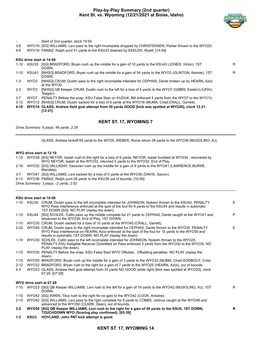

- Start of 2nd quarter, clock 15:00.
- 3-6 WYO16 [SG] WILLIAMS, Levi pass to the right incomplete dropped by CHRISTENSEN, Parker thrown to the WYO20.
- 4-6 WYO16 FAWAZ, Ralph punt 51 yards to the KSU33 downed by EKELER, Wyett. [14:49]

# **KSU drive start at 14:49**

| $1 - 10$ | KSU33 | [SG] BRADFORD, Bryan rush up the middle for a gain of 10 yards to the KSU43 (JONES, Victor), 1ST<br>DOWN.             | R |
|----------|-------|-----------------------------------------------------------------------------------------------------------------------|---|
| 1-10     | KSU43 | [NHSG] BRADFORD, Bryan rush up the middle for a gain of 54 yards to the WYO3 (GLINTON, Keonte), 1ST<br>DOWN.          | R |
| $1 - 3$  | WYO3  | [NHSG] CRUM, Dustin pass to the right incomplete intended for CEPHAS, Dante broken up by HEARN, Azizi<br>at the WYO0. |   |
| $2 - 3$  | WYO3  | [NHSG] QB Keeper CRUM, Dustin rush to the left for a loss of 4 yards to the WYO7 (GIBBS, Easton;LIUFAU,<br>Teagan).   |   |
| $3 - 7$  | WYO7  | PENALTY Before the snap, KSU False Start on KUDUK, Bill enforced 5 yards from the WYO7 to the WYO12.                  |   |
| $3 - 12$ |       | WYO12 [NHSG] CRUM, Dustin sacked for a loss of 6 yards at the WYO18 (MUMA, Chad:CRALL, Garrett).                      |   |
| 4-18     |       | WYO18 GLASS, Andrew field goal attempt from 36 yards GOOD [kick was spotted at WYO26], clock 12:21.<br>[12:21]        |   |
|          |       |                                                                                                                       |   |

# **KENT ST. 17, WYOMING 7**

*Drive Summary: 6 plays, 49 yards, 2:28*

GLASS, Andrew kickoff 65 yards to the WYO0, WEBER, Rome return 38 yards to the WYO38 (MUSOLINO, AJ).

#### **WYO drive start at 12:10**

| 1-10 WYO38 [SG] NEYOR, Isaiah rush to the right for a loss of 6 yards, NEYOR, Isaiah fumbled at WYO34, recovered by |
|---------------------------------------------------------------------------------------------------------------------|
| WYO NEYOR, Isaiah at the WYO32, returned 0 yards to the WYO32, End of Play.                                         |
| 2.16 MVO32 [SCINALLADAY Yazayian rush un the middle for a gain of 0 vards to the MVO41 (LAMPENCE-RURKE              |

- 2-16 WYO32 [SG] VALLADAY, Xazavian rush up the middle for a gain of 9 yards to the WYO41 (LAWRENCE-BURKE, Mandela).
- 3-7 WYO41 [SG] WILLIAMS, Levi sacked for a loss of 5 yards at the WYO36 (DAVIS, Saivon).
- 4-12 WYO36 FAWAZ, Ralph punt 29 yards to the KSU35 out of bounds. [10:08]

*Drive Summary: 3 plays, -2 yards, 2:02*

# **KSU drive start at 10:08**

|          |            | 1-10 KSU35 CRUM, Dustin pass to the left incomplete intended for JOHNSON, Nykeim thrown to the KSU42. PENALTY<br>WYO Pass Interference enforced at the spot of the foul for 9 yards to the KSU44 and results in automatic<br>1ST DOWN [SG]. NO PLAY (replay the down).       | E  |
|----------|------------|------------------------------------------------------------------------------------------------------------------------------------------------------------------------------------------------------------------------------------------------------------------------------|----|
|          | 1-10 KSU44 | [SG] SCHLEE, Collin pass up the middle complete for 21 yards to CEPHAS, Dante caught at the WYO41 and<br>advanced to the WYO35, End of Play, 1ST DOWN.                                                                                                                       | P  |
| $1 - 10$ |            | WYO35 CRUM, Dustin sacked for a loss of 10 yards at the WYO45 (CRALL, Garrett).                                                                                                                                                                                              |    |
| $2 - 20$ |            | WYO45 CRUM, Dustin pass to the right incomplete intended for CEPHAS, Dante thrown to the WYO30. PENALTY<br>WYO Pass Interference on HEARN, Azizi enforced at the spot of the foul for 15 yards to the WYO30 and<br>results in automatic 1ST DOWN. NO PLAY (replay the down). | E. |
|          |            | 1-10 WYO30 SCHLEE, Collin pass to the left incomplete intended for JOHNSON, Nykeim thrown to the WYO25.<br>PENALTY KSU Ineligible Receiver Downfield on Pass enforced 5 yards from the WYO30 to the WYO35. NO<br>PLAY (replay the down).                                     |    |
|          |            | 1-15 WYO35 PENALTY Before the snap, KSU False Start WYO Offsides, Offsetting penalties. NO PLAY (replay the<br>down).                                                                                                                                                        |    |
| $1 - 15$ |            | WYO35 BRADFORD, Bryan rush up the middle for a gain of 3 yards to the WYO32 (MUMA, Chad; GODBOUT, Cole).                                                                                                                                                                     |    |
| $2 - 12$ |            | WYO32 BRADFORD, Bryan rush to the right for a gain of 7 yards to the WYO25 (HEARN, Azizi), out of bounds.                                                                                                                                                                    |    |
| $4 - 3$  |            | WYO23 GLASS, Andrew field goal attempt from 33 yards NO GOOD (wide right) [kick was spotted at WYO23], clock<br>07:29. [07:29]                                                                                                                                               |    |
|          |            | WYO drive start at 07:29                                                                                                                                                                                                                                                     |    |
|          |            | 1-10 WYO23 [SG] QB Keeper WILLIAMS, Levi rush to the left for a gain of 19 yards to the WYO42 (MUSOLINO, AJ), 1ST<br>DOWN.                                                                                                                                                   | R. |
| $1 - 10$ |            | WYO42 [SG] SWEN, Titus rush to the right for no gain to the WYO42 (COOK, Antoine).                                                                                                                                                                                           |    |
| $2 - 10$ |            | WYO42 [SG] WILLIAMS, Levi pass to the right complete for 8 yards to COBBS, Joshua caught at the WYO48 and<br>advanced to the WYO50 (CLARK, Dean), out of bounds.                                                                                                             |    |
| $3 - 2$  |            | WYO50 [SG] QB Keeper WILLIAMS, Levi rush to the right for a gain of 50 yards to the KSU0, 1ST DOWN,<br>TOUCHDOWN WYO (Scoring play confirmed). [05:39]                                                                                                                       | R  |
| $1 - 3$  | KSU3       | HOYLAND, John PAT kick attempt is good.                                                                                                                                                                                                                                      |    |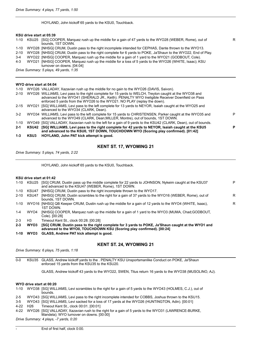HOYLAND, John kickoff 65 yards to the KSU0, Touchback.

# **KSU drive start at 05:39**

| $1 - 10$ | KSU25 | [SG] COOPER, Marquez rush up the middle for a gain of 47 yards to the WYO28 (WEBER, Rome), out of<br>bounds. 1ST DOWN.                                                                                  | R. |
|----------|-------|---------------------------------------------------------------------------------------------------------------------------------------------------------------------------------------------------------|----|
| $1 - 10$ |       | WYO28 [NHSG] CRUM, Dustin pass to the right incomplete intended for CEPHAS, Dante thrown to the WYO13.                                                                                                  |    |
| $2 - 10$ |       | WYO28 [NHSG] CRUM, Dustin pass to the right complete for 6 yards to POKE, Ja'Shaun to the WYO22, End of Play.                                                                                           |    |
| $3 - 4$  |       | WYO22 [NHSG] COOPER, Marguez rush up the middle for a gain of 1 yard to the WYO21 (GODBOUT, Cole).                                                                                                      |    |
| 4-3      |       | WYO21 [NHSG] COOPER, Marguez rush up the middle for a loss of 5 yards to the WYO26 (WHITE, Isaac); KSU<br>turnover on downs. [04:04]                                                                    |    |
|          |       | Drive Summary: 5 plays, 49 yards, 1:35                                                                                                                                                                  |    |
|          |       | WYO drive start at 04:04                                                                                                                                                                                |    |
| 1-10     |       | WYO26 VALLADAY, Xazavian rush up the middle for no gain to the WYO26 (DAVIS, Saivon).                                                                                                                   |    |
| $2 - 10$ |       | WYO26 WILLIAMS, Levi pass to the right complete for 15 yards to WELCH, Treyton caught at the WYO38 and<br>advanced to the WYO41 (SHERALD JR., Keith). PENALTY WYO Ineligible Receiver Downfield on Pass |    |

|         |       | and advanced to the KSU0, 1ST DOWN, TOUCHDOWN WYO (Scoring play confirmed). [01:42]                                  |   |
|---------|-------|----------------------------------------------------------------------------------------------------------------------|---|
| $2 - 1$ | KSU42 | [SG] WILLIAMS, Levi pass to the right complete for 42 yards to NEYOR, Isaiah caught at the KSU5                      | P |
|         |       | 1-10 WYO49 [SG] VALLADAY, Xazavian rush to the left for a gain of 9 yards to the KSU42 (CLARK, Dean), out of bounds. |   |
|         |       | advanced to the WYO49 (CLARK, Dean; MILLER, Montre), out of bounds, 1ST DOWN.                                        |   |
|         |       | 3-2 WYO34 WILLIAMS, Levi pass to the left complete for 15 yards to CHRISTENSEN, Parker caught at the WYO35 and       | P |
|         |       | advanced to the WYO34 (CLARK, Dean).                                                                                 |   |
|         |       | 2-15 WYO21 [SG] WILLIAMS, Levi pass to the left complete for 13 yards to NEYOR, Isaiah caught at the WYO25 and       |   |
|         |       | enforced 5 yards from the WYO26 to the WYO21. NO PLAY (replay the down).                                             |   |

**1-3 KSU3 HOYLAND, John PAT kick attempt is good.**

# **KENT ST. 17, WYOMING 21**

*Drive Summary: 5 plays, 74 yards, 2:22*

HOYLAND, John kickoff 65 yards to the KSU0, Touchback.

# **KSU drive start at 01:42**

| 1-10     |       | KSU25 [SG] CRUM, Dustin pass up the middle complete for 22 yards to JOHNSON, Nykeim caught at the KSU37<br>and advanced to the KSU47 (WEBER, Rome), 1ST DOWN. | P |
|----------|-------|---------------------------------------------------------------------------------------------------------------------------------------------------------------|---|
| 1-10     | KSU47 | [NHSG] CRUM, Dustin pass to the right incomplete thrown to the WYO17.                                                                                         |   |
| $2 - 10$ | KSU47 | [NHSG] CRUM, Dustin scrambles to the right for a gain of 37 yards to the WYO16 (WEBER, Rome), out of<br>bounds. 1ST DOWN.                                     | R |
| 1-10     |       | WYO16 [NHSG] QB Keeper CRUM, Dustin rush up the middle for a gain of 12 yards to the WYO4 (WHITE, Isaac),<br>1ST DOWN.                                        | R |
| $1 - 4$  | WYO4  | [NHSG] COOPER, Marguez rush up the middle for a gain of 1 yard to the WYO3 (MUMA, Chad; GODBOUT,<br>Cole). [00:28]                                            |   |
| $2 - 3$  | H3    | Timeout Kent St., clock 00:28. [00:28]                                                                                                                        |   |
|          |       |                                                                                                                                                               |   |

**2-3 WYO3 [SG] CRUM, Dustin pass to the right complete for 3 yards to POKE, Ja'Shaun caught at the WYO1 and advanced to the WYO0, TOUCHDOWN KSU (Scoring play confirmed). [00:24]**

**1-10 WYO3 GLASS, Andrew PAT kick attempt is good.**

# **KENT ST. 24, WYOMING 21**

*Drive Summary: 6 plays, 75 yards, 1:18*

0-0 KSU35 GLASS, Andrew kickoff yards to the . PENALTY KSU Unsportsmanlike Conduct on POKE, Ja'Shaun enforced 15 yards from the KSU35 to the KSU20.

GLASS, Andrew kickoff 43 yards to the WYO22, SWEN, Titus return 16 yards to the WYO38 (MUSOLINO, AJ).

# **WYO drive start at 00:20**

1-10 WYO38 [SG] WILLIAMS, Levi scrambles to the right for a gain of 5 yards to the WYO43 (HOLMES, C.J.), out of bounds.

2-5 WYO43 [SG] WILLIAMS, Levi pass to the right incomplete intended for COBBS, Joshua thrown to the KSU15.

3-5 WYO43 [SG] WILLIAMS, Levi sacked for a loss of 17 yards at the WYO26 (HUNTINGTON, Adin). [00:01]

4-22 H26 Timeout Kent St., clock 00:01. [00:01]

4-22 WYO26 [SG] VALLADAY, Xazavian rush to the right for a gain of 5 yards to the WYO31 (LAWRENCE-BURKE, Mandela); WYO turnover on downs. [00:00]

*Drive Summary: 4 plays, -7 yards, 0:20*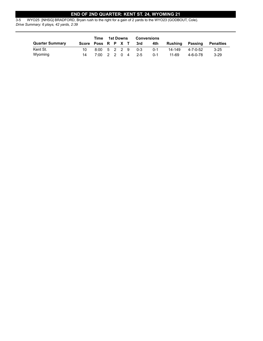# **END OF 2ND QUARTER: KENT ST. 24, WYOMING 21**

3-5 WYO25 [NHSG] BRADFORD, Bryan rush to the right for a gain of 2 yards to the WYO23 (GODBOUT, Cole). *Drive Summary: 6 plays, 42 yards, 2:39*

| Time                   |                    |                  |  | 1st Downs |       | Conversions |         |          |                  |
|------------------------|--------------------|------------------|--|-----------|-------|-------------|---------|----------|------------------|
| <b>Quarter Summary</b> | Score Poss R P X T |                  |  |           | 3rd   | 4th         | Rushing | Passing  | <b>Penalties</b> |
| Kent St.               |                    | 8:00 5 2 2 9 0-3 |  |           |       | $0 - 1$     | 14-149  | 4-7-0-52 | $3 - 25$         |
| Wyoming                | 14                 | 7:00 2 2 0 4     |  |           | - 2-5 | $0 - 1$     | 11-69   | 4-6-0-78 | $3-29$           |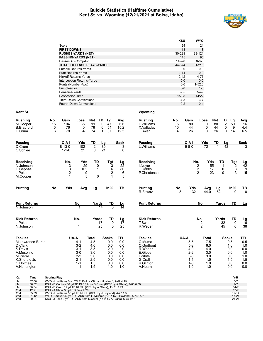# **Quickie Statistics (Halftime Cumulative) Kent St. vs. Wyoming (12/21/2021 at Boise, Idaho)**



|                                   | <b>KSU</b>   | <b>WYO</b>  |
|-----------------------------------|--------------|-------------|
| Score                             | 24           | 21          |
| <b>FIRST DOWNS</b>                | 18           | 8           |
| <b>RUSHES-YARDS (NET)</b>         | 30-229       | 23-121      |
| <b>PASSING-YARDS (NET)</b>        | 145          | 95          |
| Passes Att-Comp-Int               | $14 - 9 - 0$ | $8 - 6 - 0$ |
| <b>TOTAL OFFENSE PLAYS-YARDS</b>  | 44-374       | 31-216      |
| Fumble Returns-Yards              | $0 - 0$      | $0-0$       |
| <b>Punt Returns-Yards</b>         | $1 - 14$     | $0 - 0$     |
| Kickoff Returns-Yards             | $2 - 42$     | $4 - 77$    |
| <b>Interception Returns-Yards</b> | $0 - 0$      | $0 - 0$     |
| Punts (Number-Avg)                | $0 - 0$      | $1 - 52.0$  |
| Fumbles-Lost                      | $0 - 0$      | $1 - 0$     |
| Penalties-Yards                   | $5 - 35$     | $5-49$      |
| Possession Time                   | 15:38        | 14:22       |
| <b>Third-Down Conversions</b>     | $4 - 8$      | $3 - 7$     |
| <b>Fourth-Down Conversions</b>    | $0 - 2$      | $0 - 1$     |

| <b>Rushing</b>                | No.                 | Gain                        | Loss                    | <b>Net</b>                 | TD             | Lg                  | Avg                   | <b>Rushing</b>                  | No.     | Gain               | Loss          | <b>Net</b>             | TD                          | Lg            | <b>Avg</b>                   |
|-------------------------------|---------------------|-----------------------------|-------------------------|----------------------------|----------------|---------------------|-----------------------|---------------------------------|---------|--------------------|---------------|------------------------|-----------------------------|---------------|------------------------------|
| M.Cooper<br><b>B.Bradford</b> | 15<br>5             | 104<br>76                   | $-5$<br>$\pmb{0}$       | 99<br>76                   | 0<br>0         | 47<br>54            | 6.6<br>15.2           | L.Williams<br>X.Valladay        | 5<br>10 | 80<br>44           | 0<br>0        | 80<br>44               | $\overline{2}$<br>$\pmb{0}$ | 50<br>9       | 16<br>4.4                    |
| D.Crum                        | 6                   | 78                          | -4                      | 74                         | 1              | 37                  | 12.3                  | T.Swen                          | 4       | 26                 | 0             | 26                     | 0                           | 14            | 6.5                          |
| <b>Passing</b>                |                     | $C-A-I$                     | Yds                     | TD                         | Lg             |                     | <b>Sack</b>           | <b>Passing</b>                  |         | C-A-I              | Yds           | TD                     | Lg                          |               | <b>Sack</b>                  |
| D.Crum<br>C.Schlee            |                     | $8 - 13 - 0$<br>$1 - 1 - 0$ | 102<br>21               | $\overline{2}$<br>$\Omega$ | 80<br>21       |                     | 3<br>$\mathbf{0}$     | L.Williams                      |         | $6 - 8 - 0$        | 72            |                        | $\overline{42}$             |               |                              |
| Receiving                     |                     | No.                         | Yds                     | TD                         |                | <b>Tgt</b>          | <u>Lg</u>             | Receiving                       |         | No.                |               | Yds                    | TD                          | <b>Tgt</b>    |                              |
| N.Johnson                     |                     | 3                           | 29                      |                            | $\overline{0}$ | 3                   | $\overline{22}$       | I.Nevor                         |         |                    | 2             | 55                     | $\mathbf{1}$                | $\frac{2}{3}$ | $\frac{\text{Lg}}{42}$       |
| D.Cephas<br>J.Poke            |                     | 3<br>2                      | 102<br>$\boldsymbol{9}$ |                            | 1<br>1         | $\frac{6}{2}$       | 80<br>$\,6$           | J.Cobbs<br><b>P.Christensen</b> |         |                    | $\frac{2}{2}$ | 17<br>23               | 0<br>$\Omega$               |               | $\boldsymbol{9}$<br>15       |
| M.Cooper                      |                     | 1                           | 5                       |                            | $\Omega$       | 1                   | 5                     |                                 |         |                    |               |                        |                             |               |                              |
| <b>Punting</b>                | No.                 | Yds                         | Avg                     | Lg                         |                | In20                | TВ                    | <b>Punting</b>                  | No.     | Yds                | Avg           | $\frac{\text{Lg}}{52}$ |                             | In20          | $rac{TB}{0}$                 |
|                               |                     |                             |                         |                            |                |                     |                       | R.Fawaz                         | 3       | 132                | 44.0          |                        |                             | $\Omega$      |                              |
| <b>Punt Returns</b>           |                     |                             | No.                     |                            | Yards          | TD                  | <u>Lg</u>             | <b>Punt Returns</b>             |         |                    | No.           | Yards                  |                             | TD            | Lg                           |
| N.Johnson                     |                     |                             | 1                       |                            | 14             | $\overline{0}$      | $\overline{14}$       |                                 |         |                    |               |                        |                             |               |                              |
| <b>Kick Returns</b>           |                     |                             | No.                     |                            | Yards          | <b>TD</b>           | <u>Lg</u>             | <b>Kick Returns</b>             |         |                    | No.           | Yards                  |                             | <b>TD</b>     |                              |
| J.Poke<br>N.Johnson           |                     |                             | 1                       |                            | 17<br>25       | $\overline{0}$<br>0 | $\overline{17}$<br>25 | T.Swen<br>R.Weber               |         |                    | $\frac{2}{2}$ |                        | 32<br>45                    | 0<br>0        | $\frac{\text{Lg}}{16}$<br>38 |
| <b>Tackles</b>                |                     | UA-A                        |                         | <b>Total</b>               |                | <b>Sacks</b>        | TFL                   | <b>Tackles</b>                  |         | UA-A               | <b>Total</b>  |                        | <b>Sacks</b>                |               | TFL                          |
| M.Lawrence-Burke              |                     |                             | $4 - 1$                 | 4.5                        |                | 0.0                 | 0.0                   | C.Muma                          |         | $5-5$              | 7.5           |                        |                             | 0.5           | 0.5                          |
| D.Clark<br>S.Davis            |                     |                             | $3 - 2$<br>$3 - 1$      | 4.0<br>3.5                 |                | 0.0<br>2.0          | 0.0<br>2.0            | C.Godbout<br>R.Weber            |         | $5 - 2$<br>$4 - 0$ | 6.0<br>4.0    |                        |                             | 1.0<br>0.0    | 1.0<br>0.0                   |
| A.Musolino                    |                     |                             | $3-0$                   | 3.0                        |                | 0.0                 | 0.0                   | E.Gibbs                         |         | $2 - 2$            | 3.0           |                        |                             | 0.0           | 1.0                          |
| M.Pierre                      |                     |                             | $2 - 2$                 | 3.0                        |                | 0.0                 | 0.0                   | I.White                         |         | $3-0$              | 3.0           |                        |                             | 0.0           | 1.0                          |
| K.Sherald Jr.                 |                     |                             | $2 - 1$                 | 2.5                        |                | 0.0                 | 0.0                   | G.Crall                         |         | $1 - 1$            | 1.5           |                        |                             | 1.5           | 1.5                          |
| C.Holmes<br>A.Huntington      |                     |                             | $1 - 1$<br>$1 - 1$      | 1.5<br>1.5                 |                | 0.0<br>1.0          | 0.0<br>1.0            | K.Glinton<br>A.Hearn            |         | $1 - 0$<br>$1 - 0$ | 1.0<br>1.0    |                        |                             | 0.0<br>0.0    | 0.0<br>0.0                   |
| Qtr<br>Time                   | <b>Scoring Play</b> |                             |                         |                            |                |                     |                       |                                 |         |                    |               |                        |                             | V-H           |                              |
|                               |                     |                             |                         |                            |                |                     |                       |                                 |         |                    |               |                        |                             |               |                              |

| 1st             | 07:06 | WYO - L. Williams 5 yd TD RUSH (KICK by J. Hoyland), 9-67 4:19                |           |
|-----------------|-------|-------------------------------------------------------------------------------|-----------|
| 1st             | 06:52 | KSU - D.Cephas 80 yd TD PASS from D.Crum (KICK by A.Glass), 1-80 0:09         |           |
| 1st             | 00:54 | KSU - D.Crum 12 vd TD RUSH (KICK by A.Glass), 11-71 3:49                      | $14 - 7$  |
| 2 <sub>nd</sub> | 12:21 | KSU - A.Glass 36 vd FG 6-49 2:28                                              | $17 - 7$  |
| 2 <sub>nd</sub> | 05:39 | WYO - L. Williams 50 yd TD RUSH (KICK by J. Hoyland), 4-77 1:50               | $17 - 14$ |
| 2 <sub>nd</sub> | 01:42 | WYO - I. Neyor 42 yd TD PASS from L. Williams (KICK by J. Hoyland), 5-74 2:22 | $17 - 21$ |
| 2 <sub>nd</sub> | 00:24 | KSU - J.Poke 3 yd TD PASS from D.Crum (KICK by A.Glass), 6-75 1:18            | $24 - 21$ |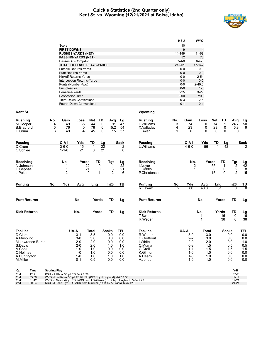# **Quickie Statistics (2nd Quarter only) Kent St. vs. Wyoming (12/21/2021 at Boise, Idaho)**



|                                   | <b>KSU</b>  | <b>WYO</b>     |
|-----------------------------------|-------------|----------------|
| Score                             | 10          | 14             |
| <b>FIRST DOWNS</b>                | 9           | $\overline{4}$ |
| <b>RUSHES-YARDS (NET)</b>         | 14-149      | 11-69          |
| <b>PASSING-YARDS (NET)</b>        | 52          | 78             |
| Passes Att-Comp-Int               | $7 - 4 - 0$ | $6 - 4 - 0$    |
| <b>TOTAL OFFENSE PLAYS-YARDS</b>  | 21-201      | 17-147         |
| <b>Fumble Returns-Yards</b>       | $0 - 0$     | $0-0$          |
| <b>Punt Returns-Yards</b>         | $0 - 0$     | $0 - 0$        |
| Kickoff Returns-Yards             | $0 - 0$     | $2 - 54$       |
| <b>Interception Returns-Yards</b> | $0 - 0$     | $0 - 0$        |
| Punts (Number-Avg)                | $0 - 0$     | $2 - 40.0$     |
| Fumbles-Lost                      | $0 - 0$     | $1 - 0$        |
| Penalties-Yards                   | $3 - 25$    | $3 - 29$       |
| Possession Time                   | 8:00        | 7:00           |
| <b>Third-Down Conversions</b>     | $0 - 3$     | $2 - 5$        |
| <b>Fourth-Down Conversions</b>    | $0 - 1$     | $0 - 1$        |

| <b>Rushing</b><br>$\overline{M}$ . Cooper<br><b>B.Bradford</b><br>D.Crum                                                 | No.<br>4<br>$\frac{5}{3}$ | Gain<br>49<br>76<br>49                | Loss<br>$-5$<br>0<br>$-4$                                                                  | <b>Net</b><br>44<br>76<br>45                                                      | TD<br>$\mathbf{0}$<br>0<br>$\Omega$ | Avg<br>11<br>15.2<br>15                                              | Lg<br>47<br>54<br>37                                               | <b>Rushing</b><br>L.Williams<br>X.Valladay<br>T.Swen                                                      |                     | No.<br>3<br>4<br>1    | Gain<br>$\overline{74}$<br>23<br>$\Omega$                                                    | Loss<br>0<br>0<br>$\Omega$                                           | <b>Net</b><br>74<br>23<br>$\Omega$ | TD<br>$\mathbf{1}$<br>0<br>$\Omega$ | Avg<br>24.7<br>5.8<br>$\Omega$                       | $\frac{Lg}{50}$<br>9                                               |
|--------------------------------------------------------------------------------------------------------------------------|---------------------------|---------------------------------------|--------------------------------------------------------------------------------------------|-----------------------------------------------------------------------------------|-------------------------------------|----------------------------------------------------------------------|--------------------------------------------------------------------|-----------------------------------------------------------------------------------------------------------|---------------------|-----------------------|----------------------------------------------------------------------------------------------|----------------------------------------------------------------------|------------------------------------|-------------------------------------|------------------------------------------------------|--------------------------------------------------------------------|
| Passing<br>D.Crum<br>C.Schlee                                                                                            |                           | $C-A-I$<br>$3 - 6 - 0$<br>$1 - 1 - 0$ | Yds<br>15<br>21                                                                            | TD<br>1<br>0                                                                      | Lg<br>22<br>21                      |                                                                      | <b>Sack</b><br>2<br>$\Omega$                                       | Passing<br>L.Williams                                                                                     |                     |                       | C-A-I<br>$4 - 6 - 0$                                                                         | Yds<br>56                                                            | <b>TD</b>                          | $\frac{\text{Lg}}{42}$              |                                                      | <b>Sack</b><br>$\mathfrak{p}$                                      |
| Receiving<br>N.Johnson<br>D.Cephas<br>J.Poke                                                                             |                           | No.<br>1<br>1<br>$\overline{2}$       | Yards                                                                                      | $\overline{22}$<br>21<br>9                                                        | <b>TD</b><br>0<br>0<br>1            | Tgt<br>1<br>3<br>$\overline{2}$                                      | $\frac{\text{Lg}}{22}$<br>21<br>6                                  | Receiving<br>I.Nevor<br>J.Cobbs                                                                           | P.Christensen       |                       | No.<br>2<br>$\mathbf{1}$<br>1                                                                |                                                                      | Yards<br>55<br>8<br>15             | <b>TD</b><br>1<br>0<br>$\mathbf{0}$ | <b>Tgt</b><br>$\frac{2}{2}$                          | $\frac{\text{Lg}}{42}$<br>15                                       |
| <b>Punting</b>                                                                                                           | No.                       | Yds                                   | Avg                                                                                        | Lng                                                                               |                                     | In20                                                                 | <b>TB</b>                                                          | <b>Punting</b><br>R.Fawaz                                                                                 |                     | No.<br>$\overline{2}$ | Yds<br>80                                                                                    | Avg<br>40.0                                                          | Lng                                | 51                                  | In20<br>$\Omega$                                     | $rac{TB}{0}$                                                       |
| <b>Punt Returns</b>                                                                                                      |                           |                                       | No.                                                                                        |                                                                                   | Yards                               | <b>TD</b>                                                            | Lg                                                                 |                                                                                                           | <b>Punt Returns</b> |                       |                                                                                              | No.                                                                  |                                    | Yards                               | TD                                                   | Lg                                                                 |
| <b>Kick Returns</b>                                                                                                      |                           |                                       | No.                                                                                        |                                                                                   | Yards                               | <b>TD</b>                                                            | Lg                                                                 | T.Swen<br>R.Weber                                                                                         | <b>Kick Returns</b> |                       |                                                                                              | No.                                                                  |                                    | Yards<br>$\overline{16}$<br>38      | TD<br>0<br>0                                         | $\frac{Lg}{16}$<br>38                                              |
| <b>Tackles</b><br>D.Clark<br>A.Musolino<br>M.Lawrence-Burke<br>S.Davis<br>A.Cook<br>C.Holmes<br>A.Huntington<br>M.Miller |                           |                                       | UA-A<br>$3 - 1$<br>$3-0$<br>$2 - 0$<br>$2 - 0$<br>$1 - 0$<br>$1 - 0$<br>$1 - 0$<br>$0 - 1$ | <b>Total</b><br>$\overline{3.5}$<br>3.0<br>2.0<br>2.0<br>1.0<br>1.0<br>1.0<br>0.5 |                                     | <b>Sacks</b><br>0.0<br>0.0<br>0.0<br>1.0<br>0.0<br>0.0<br>1.0<br>0.0 | <b>TFL</b><br>0.0<br>0.0<br>0.0<br>1.0<br>0.0<br>0.0<br>1.0<br>0.0 | <b>Tackles</b><br>R.Weber<br>C.Godbout<br>I.White<br>C.Muma<br>G.Crall<br>K.Glinton<br>A.Hearn<br>V.Jones |                     |                       | UA-A<br>$3 - 0$<br>$2 - 2$<br>$2 - 0$<br>$0 - 3$<br>$1 - 1$<br>$1 - 0$<br>$1 - 0$<br>$1 - 0$ | <b>Total</b><br>3.0<br>3.0<br>2.0<br>1.5<br>1.5<br>1.0<br>1.0<br>1.0 |                                    | <b>Sacks</b>                        | 0.0<br>0.0<br>0.0<br>0.5<br>1.5<br>0.0<br>0.0<br>0.0 | <b>TFL</b><br>0.0<br>0.0<br>1.0<br>0.5<br>1.5<br>0.0<br>0.0<br>0.0 |

| Qtr | Time  | <b>Scoring Play</b>                                                        | V-H       |
|-----|-------|----------------------------------------------------------------------------|-----------|
| 2nd | 12:21 | KSU - A.Glass 36 vd FG 6-49 2:28                                           |           |
| 2nd | 05:39 | WYO - L. Williams 50 vd TD RUSH (KICK by J. Hovland), 4-77 1:50            | $17 - 14$ |
| 2nd | 01:42 | WYO - I.Nevor 42 vd TD PASS from L.Williams (KICK by J.Hovland), 5-74 2:22 | $17 - 21$ |
| 2nd | 00:24 | KSU - J.Poke 3 yd TD PASS from D.Crum (KICK by A.Glass), 6-75 1:18         | $24 - 21$ |
|     |       |                                                                            |           |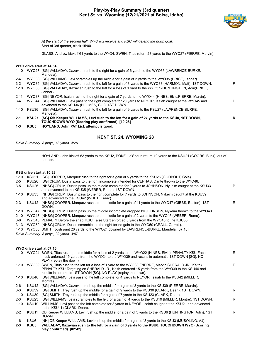

*At the start of the second half, WYO will receive and KSU will defend the north goal.* Start of 3rd quarter, clock 15:00.

GLASS, Andrew kickoff 61 yards to the WYO4, SWEN, Titus return 23 yards to the WYO27 (PIERRE, Marvin).

# **WYO drive start at 14:54**

|                   | Mandela).                                                                                                                                       |                                                                                                                                                                                                                                                                                                                                                                                                                                                                                                                                                                                                                                                                                                                                                                         |
|-------------------|-------------------------------------------------------------------------------------------------------------------------------------------------|-------------------------------------------------------------------------------------------------------------------------------------------------------------------------------------------------------------------------------------------------------------------------------------------------------------------------------------------------------------------------------------------------------------------------------------------------------------------------------------------------------------------------------------------------------------------------------------------------------------------------------------------------------------------------------------------------------------------------------------------------------------------------|
|                   |                                                                                                                                                 |                                                                                                                                                                                                                                                                                                                                                                                                                                                                                                                                                                                                                                                                                                                                                                         |
|                   |                                                                                                                                                 | R                                                                                                                                                                                                                                                                                                                                                                                                                                                                                                                                                                                                                                                                                                                                                                       |
|                   | Jabbar).                                                                                                                                        |                                                                                                                                                                                                                                                                                                                                                                                                                                                                                                                                                                                                                                                                                                                                                                         |
|                   |                                                                                                                                                 |                                                                                                                                                                                                                                                                                                                                                                                                                                                                                                                                                                                                                                                                                                                                                                         |
|                   | advanced to the KSU36 (HOLMES, C.J.), 1ST DOWN.                                                                                                 | P                                                                                                                                                                                                                                                                                                                                                                                                                                                                                                                                                                                                                                                                                                                                                                       |
| KSU36             | Mandela).                                                                                                                                       |                                                                                                                                                                                                                                                                                                                                                                                                                                                                                                                                                                                                                                                                                                                                                                         |
| KSU <sub>27</sub> | [SG] QB Keeper WILLIAMS, Levi rush to the left for a gain of 27 yards to the KSU0, 1ST DOWN,<br>TOUCHDOWN WYO (Scoring play confirmed). [10:28] | R                                                                                                                                                                                                                                                                                                                                                                                                                                                                                                                                                                                                                                                                                                                                                                       |
| KSU3              | HOYLAND, John PAT kick attempt is good.                                                                                                         |                                                                                                                                                                                                                                                                                                                                                                                                                                                                                                                                                                                                                                                                                                                                                                         |
|                   |                                                                                                                                                 | WYO27 [SG] VALLADAY, Xazavian rush to the right for a gain of 6 yards to the WYO33 (LAWRENCE-BURKE,<br>WYO33 [SG] WILLIAMS, Levi scrambles up the middle for a gain of 2 yards to the WYO35 (PRICE, Jabbar).<br>WYO35 [SG] VALLADAY, Xazavian rush to the left for a gain of 3 yards to the WYO38 (HARMON, Matt), 1ST DOWN.<br>WYO38 [SG] VALLADAY, Xazavian rush to the left for a loss of 1 yard to the WYO37 (HUNTINGTON, Adin; PRICE,<br>WYO37 [SG] NEYOR, Isaiah rush to the right for a gain of 7 yards to the WYO44 (HINES, Elvis;PIERRE, Marvin).<br>WYO44 [SG] WILLIAMS, Levi pass to the right complete for 20 yards to NEYOR, Isaiah caught at the WYO45 and<br>[SG] VALLADAY, Xazavian rush to the left for a gain of 9 yards to the KSU27 (LAWRENCE-BURKE, |

# **KENT ST. 24, WYOMING 28**

*Drive Summary: 8 plays, 73 yards, 4:26*

HOYLAND, John kickoff 63 yards to the KSU2, POKE, Ja'Shaun return 19 yards to the KSU21 (COORS, Buck), out of bounds.

# **KSU drive start at 10:23**

| 1-10     | KSU21 | [SG] COOPER, Marguez rush to the right for a gain of 5 yards to the KSU26 (GODBOUT, Cole).                                                               |   |
|----------|-------|----------------------------------------------------------------------------------------------------------------------------------------------------------|---|
| $2 - 5$  | KSU26 | [SG] CRUM, Dustin pass to the right incomplete intended for CEPHAS, Dante thrown to the WYO46.                                                           |   |
| 3-5      | KSU26 | [NHSG] CRUM, Dustin pass up the middle complete for 9 yards to JOHNSON, Nykeim caught at the KSU33<br>and advanced to the KSU35 (WEBER, Rome), 1ST DOWN. | P |
| 1-10     | KSU35 | [NHSG] CRUM, Dustin pass to the right complete for 7 yards to JOHNSON, Nykeim caught at the KSU39<br>and advanced to the KSU42 (WHITE, Isaac).           |   |
| $2 - 3$  | KSU42 | [NHSG] COOPER, Marguez rush up the middle for a gain of 11 yards to the WYO47 (GIBBS, Easton), 1ST<br>DOWN.                                              | R |
| 1-10     |       | WYO47 [NHSG] CRUM, Dustin pass up the middle incomplete dropped by JOHNSON, Nykeim thrown to the WYO40.                                                  |   |
| $2 - 10$ |       | WYO47 [NHSG] COOPER, Marquez rush up the middle for a gain of 2 yards to the WYO45 (WEBER, Rome).                                                        |   |
| 3-8      |       | WYO45 PENALTY Before the snap, KSU False Start enforced 5 yards from the WYO45 to the KSU50.                                                             |   |
| $3 - 13$ |       | WYO50 [NHSG] CRUM, Dustin scrambles to the right for no gain to the WYO50 (CRALL, Garrett).                                                              |   |
| $4 - 13$ |       | WYO50 SMITH, Josh punt 26 yards to the WYO24 downed by LAWRENCE-BURKE, Mandela. [07:16]                                                                  |   |
|          |       | Drive Summary: 8 plays, 29 yards, 3:07                                                                                                                   |   |

# **WYO drive start at 07:16**

|          |                   | 1-10 WYO24 SWEN, Titus rush up the middle for a loss of 2 yards to the WYO22 (HINES, Elvis). PENALTY KSU Face<br>mask enforced 15 yards from the WYO24 to the WYO39 and results in automatic 1ST DOWN [SG]. NO<br>PLAY (replay the down).                                          | F. |
|----------|-------------------|------------------------------------------------------------------------------------------------------------------------------------------------------------------------------------------------------------------------------------------------------------------------------------|----|
|          |                   | 1-10 WYO39 SWEN, Titus rush to the left for a loss of 1 yard to the WYO38 (PIERRE, Marvin; SHERALD JR., Keith).<br>PENALTY KSU Targeting on SHERALD JR., Keith enforced 15 yards from the WYO39 to the KSU46 and<br>results in automatic 1ST DOWN [SG]. NO PLAY (replay the down). | E. |
| 1-10     | KSU46             | [SG] WILLIAMS, Levi pass to the left complete for 4 yards to NEYOR, Isaiah to the KSU42 (MILLER,<br>Montre).                                                                                                                                                                       |    |
| $2-6$    | KSU42             | [SG] VALLADAY, Xazavian rush up the middle for a gain of 3 yards to the KSU39 (PIERRE, Marvin).                                                                                                                                                                                    |    |
| $3 - 3$  | KSU39             | [SG] SMITH, Trey rush up the middle for a gain of 9 yards to the KSU30 (CLARK, Dean), 1ST DOWN.                                                                                                                                                                                    | R. |
| $1 - 10$ | KSU30             | [SG] SMITH, Trey rush up the middle for a gain of 7 yards to the KSU23 (CLARK, Dean).                                                                                                                                                                                              |    |
| $2 - 3$  | KSU <sub>23</sub> | [SG] WILLIAMS, Levi scrambles to the left for a gain of 4 yards to the KSU19 (MILLER, Montre), 1ST DOWN.                                                                                                                                                                           | R  |
| $1 - 10$ | KSU19             | WILLIAMS, Levi pass to the left complete for 8 yards to NEYOR, Isaiah caught at the KSU21 and advanced<br>to the KSU11 (CLARK, Dean).                                                                                                                                              |    |
| $2 - 2$  | KSU11             | QB Keeper WILLIAMS, Levi rush up the middle for a gain of 5 yards to the KSU6 (HUNTINGTON, Adin), 1ST<br>DOWN.                                                                                                                                                                     | R. |
| 1-6      | KSU6              | [NH] QB Keeper WILLIAMS, Levi rush up the middle for a gain of 3 yards to the KSU3 (MUSOLINO, AJ).                                                                                                                                                                                 |    |
| $2 - 3$  | KSU3              | VALLADAY, Xazavian rush to the left for a gain of 3 yards to the KSU0, TOUCHDOWN WYO (Scoring<br>play confirmed). [02:42]                                                                                                                                                          |    |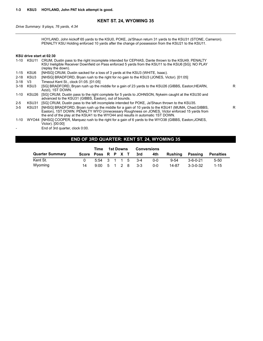# **KENT ST. 24, WYOMING 35**

*Drive Summary: 9 plays, 76 yards, 4:34*

HOYLAND, John kickoff 65 yards to the KSU0, POKE, Ja'Shaun return 31 yards to the KSU31 (STONE, Cameron). PENALTY KSU Holding enforced 10 yards after the change of possession from the KSU21 to the KSU11.

# **KSU drive start at 02:30**

|          | 1-10 KSU11     | CRUM, Dustin pass to the right incomplete intended for CEPHAS, Dante thrown to the KSU49. PENALTY<br>KSU Ineligible Receiver Downfield on Pass enforced 5 yards from the KSU11 to the KSU6 [SG]. NO PLAY<br>(replay the down).                                                        |    |
|----------|----------------|---------------------------------------------------------------------------------------------------------------------------------------------------------------------------------------------------------------------------------------------------------------------------------------|----|
| $1 - 15$ | KSU6           | [NHSG] CRUM, Dustin sacked for a loss of 3 yards at the KSU3 (WHITE, Isaac).                                                                                                                                                                                                          |    |
| $2 - 18$ | KSU3           | [NHSG] BRADFORD, Bryan rush to the right for no gain to the KSU3 (JONES, Victor). [01:05]                                                                                                                                                                                             |    |
| $3 - 18$ | V <sub>3</sub> | Timeout Kent St., clock 01:05. [01:05]                                                                                                                                                                                                                                                |    |
| $3 - 18$ | KSU3           | [SG] BRADFORD, Bryan rush up the middle for a gain of 23 yards to the KSU26 (GIBBS, Easton; HEARN,<br>Azizi), 1ST DOWN.                                                                                                                                                               | R. |
| 1-10     | KSU26          | [SG] CRUM, Dustin pass to the right complete for 5 yards to JOHNSON, Nykeim caught at the KSU30 and<br>advanced to the KSU31 (GIBBS, Easton), out of bounds.                                                                                                                          |    |
| $2 - 5$  | KSU31          | [SG] CRUM, Dustin pass to the left incomplete intended for POKE, Ja'Shaun thrown to the KSU35.                                                                                                                                                                                        |    |
| $3 - 5$  | KSU31          | [NHSG] BRADFORD, Bryan rush up the middle for a gain of 10 yards to the KSU41 (MUMA, Chad; GIBBS,<br>Easton), 1ST DOWN. PENALTY WYO Unnecessary Roughness on JONES, Victor enforced 15 yards from<br>the end of the play at the KSU41 to the WYO44 and results in automatic 1ST DOWN. | R  |
| 1-10     |                | WYO44 [NHSG] COOPER, Marguez rush to the right for a gain of 6 yards to the WYO38 (GIBBS, Easton; JONES,<br>Victor). [00:00]                                                                                                                                                          |    |
|          |                | End of 3rd quarter, clock 0:00.                                                                                                                                                                                                                                                       |    |

# **END OF 3RD QUARTER: KENT ST. 24, WYOMING 35**

|                        |                    | Time |  | 1st Downs |                                                  | <b>Conversions</b> |          |                  |           |
|------------------------|--------------------|------|--|-----------|--------------------------------------------------|--------------------|----------|------------------|-----------|
| <b>Quarter Summary</b> | Score Poss R P X T |      |  |           | 3rd                                              | 4th                | Rushina  | Passing          | Penalties |
| Kent St.               |                    |      |  |           | 5:54 3 1 1 5 3-4                                 | $0 - 0$            | $9 - 54$ | $3 - 6 - 0 - 21$ | $5 - 50$  |
| Wyoming                |                    |      |  |           | $9:00 \quad 5 \quad 1 \quad 2 \quad 8 \quad 3-3$ | $0 - 0$            | 14-87    | $3 - 3 - 0 - 32$ | $1 - 15$  |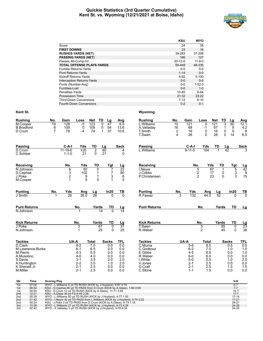# **Quickie Statistics (3rd Quarter Cumulative) Kent St. vs. Wyoming (12/21/2021 at Boise, Idaho)**



|                                   | <b>KSU</b>    | <b>WYO</b>   |
|-----------------------------------|---------------|--------------|
| Score                             | 24            | 35           |
| <b>FIRST DOWNS</b>                | 23            | 16           |
| <b>RUSHES-YARDS (NET)</b>         | 39-283        | 37-208       |
| <b>PASSING-YARDS (NET)</b>        | 166           | 127          |
| Passes Att-Comp-Int               | $20 - 12 - 0$ | $11 - 9 - 0$ |
| <b>TOTAL OFFENSE PLAYS-YARDS</b>  | 59-449        | 48-335       |
| Fumble Returns-Yards              | $0 - 0$       | $0 - 0$      |
| <b>Punt Returns-Yards</b>         | $1 - 14$      | $0 - 0$      |
| Kickoff Returns-Yards             | $4 - 92$      | $5 - 100$    |
| <b>Interception Returns-Yards</b> | $0 - 0$       | $0 - 0$      |
| Punts (Number-Avg)                | $0 - 0$       | $1 - 52.0$   |
| Fumbles-Lost                      | $0 - 0$       | $1 - 0$      |
| Penalties-Yards                   | 10-85         | $6 - 64$     |
| Possession Time                   | 21:32         | 23:22        |
| <b>Third-Down Conversions</b>     | $7 - 12$      | $6 - 10$     |
| <b>Fourth-Down Conversions</b>    | $0 - 2$       | $0 - 1$      |

| <b>Rushing</b>            | No.                 | Gain          | Loss               | Net            | TD<br>Lg                    | Avg                    | <b>Rushing</b>       | No.                     | Gain               | Loss                    | Net<br>TD            | Lg                | Avg                          |
|---------------------------|---------------------|---------------|--------------------|----------------|-----------------------------|------------------------|----------------------|-------------------------|--------------------|-------------------------|----------------------|-------------------|------------------------------|
| M.Cooper                  | 19                  | 128           | $-5$               | 123            | 0<br>47                     | 6.5                    | L.Williams           | 10                      | 121                | $\mathbf{0}$            | 121                  | 3<br>50           | 12.1                         |
| <b>B.Bradford</b>         | 8                   | 109           | 0                  | 109            | 0<br>54                     | 13.6                   | X.Valladay           | 16                      | 68                 | $-1$                    | 67                   | $\mathbf{1}$<br>9 | 4.2                          |
| D.Crum                    | $\overline{7}$      | 78            | -4                 | 74             | 37<br>$\mathbf{1}$          | 10.6                   | T.Smith              | $\overline{\mathbf{c}}$ | 16                 | 0                       | 16<br>26             | 9<br>0<br>0<br>14 | 8                            |
|                           |                     |               |                    |                |                             |                        | T.Swen               | 4                       | 26                 | $\Omega$                |                      |                   | 6.5                          |
| <b>Passing</b>            |                     | $C-A-I$       | Yds                | TD             | Lg                          | <b>Sack</b>            | Passing              |                         | $C-A-I$            | Yds                     | TD                   | <u>Lg</u>         | <b>Sack</b>                  |
| D.Crum                    |                     | $11 - 19 - 0$ | 120                | $\overline{2}$ | 80                          | 4                      | L.Williams           |                         | $9 - 11 - 0$       | 104                     | $\blacktriangleleft$ | 42                |                              |
| C.Schlee                  |                     | $1 - 1 - 0$   | 21                 | $\Omega$       | 21                          | $\mathbf 0$            |                      |                         |                    |                         |                      |                   |                              |
| Receiving                 |                     | No.           | Yds                | TD             | Tgt                         | <u>Lg</u>              | Receiving            |                         |                    | No.                     | Yds<br>TD            | Tat               |                              |
| $\overline{N}$ . Johnson  |                     | 6             | 50                 | 0              | 7                           | 22                     | <b>I.Neyor</b>       |                         |                    | 5                       | 87<br>1              | 5                 | $\frac{Lg}{42}$              |
| D.Cephas                  |                     | $\frac{3}{2}$ | 102                | 1              | 7                           | 80                     | J.Cobbs              |                         |                    | $\overline{\mathbf{c}}$ | 17<br>0              | $\frac{3}{3}$     | $\frac{9}{15}$               |
| J.Poke                    |                     |               | 9                  | 1              | 3                           | $\,6$                  | <b>P.Christensen</b> |                         |                    | $\overline{2}$          | 23<br>$\Omega$       |                   |                              |
| M.Cooper                  |                     | 1             | 5                  | $\mathbf{0}$   | 1                           | 5                      |                      |                         |                    |                         |                      |                   |                              |
| <b>Punting</b>            | No.                 | Yds           | Avg                | Lg             | In20                        | TВ                     | <b>Punting</b>       | No.                     | Yds                | Avg                     | Lg                   | In20              | <u>TB</u>                    |
| J.Smith                   |                     | 26            | 26.0               | 26             | $\Omega$                    | $\overline{0}$         | R.Fawaz              | 3                       | 132                | 44.0                    | 52                   | $\Omega$          | $\overline{0}$               |
| <b>Punt Returns</b>       |                     |               | No.                | Yards          | TD                          |                        | <b>Punt Returns</b>  |                         |                    | No.                     | Yards                | <b>TD</b>         | Lg                           |
| N.Johnson                 |                     |               | 1                  |                | $\overline{14}$<br>$\Omega$ | $\frac{\text{Lg}}{14}$ |                      |                         |                    |                         |                      |                   |                              |
| <b>Kick Returns</b>       |                     |               | No.                | Yards          | TD                          | Lg                     | <b>Kick Returns</b>  |                         |                    | No.                     | Yards                | <b>TD</b>         |                              |
| J.Poke                    |                     |               | 3                  |                | 67<br>$\mathbf 0$           | $3\overline{1}$        | T.Swen               |                         |                    | 3                       | 55                   | 0                 |                              |
| N.Johnson                 |                     |               | 1                  |                | 25<br>$\Omega$              | 25                     | R.Weber              |                         |                    | $\overline{2}$          | 45                   | $\Omega$          | $\frac{\text{Lg}}{23}$<br>38 |
| <b>Tackles</b>            |                     | UA-A          |                    | Total          | <b>Sacks</b>                | <b>TFL</b>             | <b>Tackles</b>       |                         | UA-A               | <b>Total</b>            |                      | <b>Sacks</b>      | TFL                          |
| D.Clark                   |                     |               | $6 - 2$            | 7.0            | 0.0                         | 0.0                    | C.Muma               |                         | $5-6$              | 8.0                     |                      | 0.5               | 0.5                          |
| M.Lawrence-Burke          |                     |               | $6 - 1$            | 6.5            | 0.0                         | 0.0                    | C.Godbout            |                         | $6 - 2$            | 7.0                     |                      | 1.0               | 1.0                          |
| M.Pierre                  |                     |               | $4 - 3$            | 5.5            | 0.0                         | 0.0                    | E.Gibbs              |                         | $4 - 5$            | 6.5                     |                      | 0.0               | 1.0                          |
| A.Musolino                |                     |               | $4 - 0$            | 4.0            | 0.0                         | 0.0                    | R.Weber              |                         | $6-0$              | 6.0                     |                      | 0.0               | 0.0                          |
| S.Davis                   |                     |               | $3 - 1$            | 3.5            | 2.0                         | 2.0                    | I.White              |                         | $5-0$              | 5.0                     |                      | 1.0               | 2.0                          |
| A.Huntington              |                     |               | $2 - 2$<br>$2 - 1$ | 3.0<br>2.5     | 1.0                         | 2.0<br>0.0             | V.Jones<br>G.Crall   |                         | $2 - 1$<br>$2 - 1$ | 2.5                     |                      | 0.0<br>1.5        | 0.0<br>1.5                   |
| K.Sherald Jr.<br>M.Miller |                     |               | $2 - 1$            | 2.5            | 0.0<br>0.0                  | 0.0                    | C.Stone              |                         | $1 - 1$            | 2.5<br>1.5              |                      | 0.0               | 0.0                          |
| Qtr<br>Time               | <b>Scoring Play</b> |               |                    |                |                             |                        |                      |                         |                    |                         |                      | V-H               |                              |
|                           |                     |               |                    |                |                             |                        |                      |                         |                    |                         |                      |                   |                              |

| 1st | 07:06 | WYO - L. Williams 5 yd TD RUSH (KICK by J. Hoyland), 9-67 4:19                |           |
|-----|-------|-------------------------------------------------------------------------------|-----------|
| 1st | 06:52 | KSU - D.Cephas 80 yd TD PASS from D.Crum (KICK by A.Glass), 1-80 0:09         |           |
| 1st | 00:54 | KSU - D.Crum 12 yd TD RUSH (KICK by A.Glass), 11-71 3:49                      | $14 - 7$  |
| 2nd | 12:21 | KSU - A.Glass 36 yd FG 6-49 2:28                                              | $17 - 7$  |
| 2nd | 05:39 | WYO - L. Williams 50 yd TD RUSH (KICK by J. Hoyland), 4-77 1:50               | $17 - 14$ |
| 2nd | 01:42 | WYO - I. Neyor 42 yd TD PASS from L. Williams (KICK by J. Hoyland), 5-74 2:22 | $17 - 21$ |
| 2nd | 00:24 | KSU - J.Poke 3 yd TD PASS from D.Crum (KICK by A.Glass), 6-75 1:18            | $24 - 21$ |
| 3rd | 10:28 | WYO - L. Williams 27 yd TD RUSH (KICK by J. Hoyland), 8-73 4:26               | $24 - 28$ |
| 3rd | 02:42 | WYO - X. Valladay 3 yd TD RUSH (KICK by J. Hoyland), 9-76 4:34                | 24-35     |
|     |       |                                                                               |           |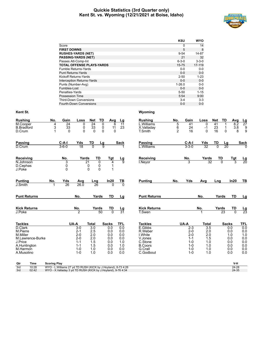# **Quickie Statistics (3rd Quarter only) Kent St. vs. Wyoming (12/21/2021 at Boise, Idaho)**



|                                   | <b>KSU</b>  | <b>WYO</b>  |
|-----------------------------------|-------------|-------------|
| Score                             | 0           | 14          |
| <b>FIRST DOWNS</b>                | 5           | 8           |
| <b>RUSHES-YARDS (NET)</b>         | $9 - 54$    | 14-87       |
| <b>PASSING-YARDS (NET)</b>        | 21          | 32          |
| Passes Att-Comp-Int               | $6 - 3 - 0$ | $3 - 3 - 0$ |
| <b>TOTAL OFFENSE PLAYS-YARDS</b>  | $15 - 75$   | 17-119      |
| Fumble Returns-Yards              | $0 - 0$     | $0-0$       |
| <b>Punt Returns-Yards</b>         | $0 - 0$     | $0 - 0$     |
| Kickoff Returns-Yards             | $2 - 50$    | $1 - 23$    |
| <b>Interception Returns-Yards</b> | $0 - 0$     | $0 - 0$     |
| Punts (Number-Avg)                | $1 - 26.0$  | $0 - 0$     |
| Fumbles-Lost                      | $0 - 0$     | $0 - 0$     |
| Penalties-Yards                   | $5 - 50$    | $1 - 15$    |
| Possession Time                   | 5:54        | 9:00        |
| <b>Third-Down Conversions</b>     | $3 - 4$     | $3 - 3$     |
| <b>Fourth-Down Conversions</b>    | $0 - 0$     | $0 - 0$     |

| <b>Rushing</b>           | No.                 | Gain            | Loss               | Net                                         | TD        | Avg          | Lg              | <b>Rushing</b>            | No.            | Gain               | Loss             | Net            | TD<br>Avg              |                        |
|--------------------------|---------------------|-----------------|--------------------|---------------------------------------------|-----------|--------------|-----------------|---------------------------|----------------|--------------------|------------------|----------------|------------------------|------------------------|
| M.Cooper                 | 4                   | $\overline{24}$ | 0                  | 24                                          | 0         | 6            | $\overline{11}$ | L.Williams                | 5              | 41                 | 0                | 41             | 8.2                    | $\frac{Lg}{27}$        |
| <b>B.Bradford</b>        | 3                   | 33              | 0                  | 33                                          | 0         | 11           | 23              | X.Valladay                | 6              | 24                 | $-1$             | 23             | $3.8\,$<br>1           | 9                      |
| D.Crum                   | $\overline{1}$      | 0               | $\Omega$           | 0                                           | 0         | $\Omega$     |                 | <b>T.Smith</b>            | $\overline{2}$ | 16                 | $\Omega$         | 16             | $\mathbf 0$            | $\overline{9}$<br>8    |
| <b>Passing</b>           |                     | $C-A-I$         | Yds                | TD                                          | Lg        |              | <b>Sack</b>     | <b>Passing</b>            |                | $C-A-I$            | Yds              | <u>TD</u>      |                        | <b>Sack</b>            |
| D.Crum                   |                     | $3 - 6 - 0$     | $\overline{18}$    | $\overline{0}$                              | ā         |              |                 | L.Williams                |                | $3 - 3 - 0$        | $\overline{32}$  | $\overline{0}$ | $\frac{\text{Lg}}{20}$ | $\Omega$               |
| Receiving                |                     | No.             | Yards              |                                             | <b>TD</b> | Tgt          |                 | <b>Receiving</b>          |                | No.                | Yards            | TD             |                        |                        |
| $\overline{N}$ . Johnson |                     | 3               |                    | $\overline{21}$                             | 0         | 4            | $\frac{Lg}{9}$  | <b>I.Neyor</b>            |                | 3                  | 32               | $\overline{0}$ | $rac{\text{Tgt}}{3}$   | $\frac{\text{Lg}}{20}$ |
| D.Cephas                 |                     | 0               |                    | $\begin{smallmatrix}0\0\0\end{smallmatrix}$ | 0         |              |                 |                           |                |                    |                  |                |                        |                        |
| J.Poke                   |                     | $\mathbf 0$     |                    |                                             | $\Omega$  | 1            |                 |                           |                |                    |                  |                |                        |                        |
| <b>Punting</b>           | No.                 | Yds             | Avg                | Lng                                         |           | In20         | $\frac{1}{10}$  | <b>Punting</b>            | No.            | <b>Yds</b>         | Avg              | Lng            | In20                   | TB                     |
| J.Smith                  | $\mathbf 1$         | 26              | 26.0               | 26                                          |           | $\Omega$     |                 |                           |                |                    |                  |                |                        |                        |
| <b>Punt Returns</b>      |                     |                 | No.                |                                             | Yards     | TD           | Lg              | <b>Punt Returns</b>       |                |                    | No.              | Yards          | <b>TD</b>              | Lg                     |
| <b>Kick Returns</b>      |                     |                 | No.                |                                             | Yards     | TD           |                 | <b>Kick Returns</b>       |                |                    | No.              | Yards          | TD                     |                        |
| J.Poke                   |                     |                 | $\overline{2}$     |                                             | 50        | $\Omega$     | $\frac{Lg}{31}$ | T.Swen                    |                |                    |                  | 23             | $\overline{0}$         | $\frac{Lg}{23}$        |
| <b>Tackles</b>           |                     |                 | UA-A               | <b>Total</b>                                |           | <b>Sacks</b> | TFL             | <b>Tackles</b>            |                | UA-A               | <b>Total</b>     |                | <b>Sacks</b>           | TFL                    |
| D.Clark                  |                     |                 | $3-0$              | $\overline{3.0}$                            |           | 0.0          | 0.0             | E.Gibbs                   |                | $2 - 3$            | $\overline{3.5}$ |                | 0.0                    | 0.0                    |
| M.Pierre                 |                     |                 | $2 - 1$            | 2.5                                         |           | 0.0          | 0.0             | R.Weber                   |                | $2 - 0$            | 2.0              |                | 0.0                    | 0.0                    |
| M.Miller                 |                     |                 | $2 - 0$            | 2.0                                         |           | 0.0          | 0.0             | I.White                   |                | $2 - 0$            | 2.0              |                | 1.0                    | 1.0                    |
| M.Lawrence-Burke         |                     |                 | $2 - 0$            | 2.0                                         |           | 0.0          | 0.0             | V.Jones                   |                | $1 - 1$            | 1.5              |                | 0.0                    | 0.0                    |
| J.Price                  |                     |                 | $1 - 1$            | 1.5                                         |           | 0.0          | 1.0             | C.Stone                   |                | $1 - 0$            | 1.0              |                | 0.0                    | 0.0                    |
| A.Huntington<br>M.Harmon |                     |                 | $1 - 1$            | 1.5                                         |           | 0.0          | 1.0             | <b>B.Coors</b><br>G.Crall |                | $1 - 0$<br>$1 - 0$ | 1.0              |                | 0.0                    | 0.0                    |
| A.Musolino               |                     |                 | $1 - 0$<br>$1 - 0$ | 1.0<br>1.0                                  |           | 0.0<br>0.0   | 0.0<br>0.0      | C.Godbout                 |                | $1 - 0$            | 1.0<br>1.0       |                | 0.0<br>0.0             | $0.0\,$<br>0.0         |
|                          |                     |                 |                    |                                             |           |              |                 |                           |                |                    |                  |                |                        |                        |
| Qtr<br>Time              | <b>Scoring Play</b> |                 |                    |                                             |           |              |                 |                           |                |                    |                  |                | V-H                    |                        |

| 3rd | 10:28 | WYO - L<br>- L.Williams 27 vd TD RUSH (KICK by J.Hovland), 8-73 4:26 | 24-28 |
|-----|-------|----------------------------------------------------------------------|-------|
| 3rd | 02:42 | WYO - X.Valladay 3 vd TD RUSH (KICK by J.Hovland), 9-76 4:34         | 24-35 |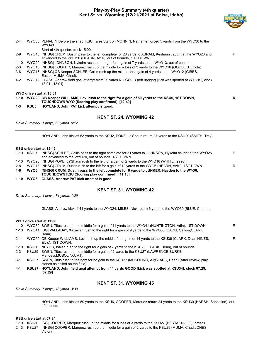# **Play-by-Play Summary (4th quarter) Kent St. vs. Wyoming (12/21/2021 at Boise, Idaho)**



| $2 - 4$ |      | WYO38 PENALTY Before the snap, KSU False Start on MONNIN, Nathan enforced 5 yards from the WYO38 to the<br>WYO43.                                                            |   |
|---------|------|------------------------------------------------------------------------------------------------------------------------------------------------------------------------------|---|
|         |      | Start of 4th quarter, clock 15:00.                                                                                                                                           |   |
| $2-9$   |      | WYO43 [NHSG] CRUM, Dustin pass to the left complete for 23 yards to ABRAM, Keshunn caught at the WYO28 and<br>advanced to the WYO20 (HEARN, Azizi), out of bounds, 1ST DOWN. | P |
| 1-10    |      | WYO20 [NHSG] JOHNSON, Nykeim rush to the right for a gain of 7 yards to the WYO13, out of bounds.                                                                            |   |
| $2 - 3$ |      | WYO13 [NHSG] COOPER, Marquez rush up the middle for a loss of 3 yards to the WYO16 (GODBOUT, Cole).                                                                          |   |
| 3-6     |      | WYO16 [NHSG] QB Keeper SCHLEE, Collin rush up the middle for a gain of 4 yards to the WYO12 (GIBBS,<br>Easton; MUMA, Chad).                                                  |   |
| 4-2     |      | WYO12 GLASS, Andrew field goal attempt from 29 yards NO GOOD (left upright) [kick was spotted at WYO19], clock<br>13:01. [13:01]                                             |   |
|         |      | WYO drive start at 13:01                                                                                                                                                     |   |
|         |      | 1-10 WYO20 QB Keeper WILLIAMS, Levi rush to the right for a gain of 80 yards to the KSU0, 1ST DOWN,<br>TOUCHDOWN WYO (Scoring play confirmed). [12:49]                       | R |
| 1-3     | KSU3 | HOYLAND, John PAT kick attempt is good.                                                                                                                                      |   |
|         |      | <b>KENT ST. 24, WYOMING 42</b>                                                                                                                                               |   |

*Drive Summary: 1 plays, 80 yards, 0:12*

HOYLAND, John kickoff 63 yards to the KSU2, POKE, Ja'Shaun return 27 yards to the KSU29 (SMITH, Trey).

# **KSU drive start at 12:42**

|         | 1-10 KSU29 [NHSG] SCHLEE, Collin pass to the right complete for 51 yards to JOHNSON, Nykeim caught at the WYO25<br>and advanced to the WYO20, out of bounds, 1ST DOWN. | P |
|---------|------------------------------------------------------------------------------------------------------------------------------------------------------------------------|---|
|         | 1-10 WYO20 [NHSG] POKE, Ja'Shaun rush to the left for a gain of 2 yards to the WYO18 (WHITE, Isaac).                                                                   |   |
| $2 - 8$ | WYO18 [NHSG] CRUM, Dustin rush to the left for a gain of 12 yards to the WYO6 (HEARN, Azizi), 1ST DOWN.                                                                | R |
| 1-6     | WYO6 [NHSG] CRUM, Dustin pass to the left complete for 6 yards to JUNKER, Hayden to the WYO0,                                                                          |   |
|         | TOUCHDOWN KSU (Scoring play confirmed). [11:13]                                                                                                                        |   |
|         | 1-10 WYO3 GLASS, Andrew PAT kick attempt is good.                                                                                                                      |   |

# **KENT ST. 31, WYOMING 42**

*Drive Summary: 4 plays, 71 yards, 1:29*

GLASS, Andrew kickoff 41 yards to the WYO24, MILES, Nick return 6 yards to the WYO30 (BLUE, Capone).

# **WYO drive start at 11:08**

| 1-10     |                   | WYO30 SWEN, Titus rush up the middle for a gain of 11 yards to the WYO41 (HUNTINGTON, Adin), 1ST DOWN.                                   | R |
|----------|-------------------|------------------------------------------------------------------------------------------------------------------------------------------|---|
| $1 - 10$ |                   | WYO41 [SG] VALLADAY, Xazavian rush to the right for a gain of 9 yards to the WYO50 (DAVIS, Saivon;CLARK,<br>Dean).                       |   |
| $2 - 1$  |                   | WYO50 QB Keeper WILLIAMS, Levi rush up the middle for a gain of 14 yards to the KSU36 (CLARK, Dean; HINES,<br>Elvis), 1ST DOWN.          | R |
| 1-10     | KSU36             | NEYOR, Isaiah rush to the right for a gain of 7 yards to the KSU29 (CLARK, Dean), out of bounds.                                         |   |
| $2 - 3$  | KSU29             | SWEN, Titus rush up the middle for a gain of 2 yards to the KSU27 (LAWRENCE-BURKE,<br>Mandela; MUSOLINO, AJ).                            |   |
| $3-1$    | KSU <sub>27</sub> | SWEN, Titus rush to the right for no gain to the KSU27 (MUSOLINO, AJ;CLARK, Dean) (After review, play<br>stands as called on the field). |   |
| 4-1      | KSU27             | HOYLAND, John field goal attempt from 44 yards GOOD [kick was spotted at KSU34], clock 07:29.<br>[07:29]                                 |   |

# **KENT ST. 31, WYOMING 45**

*Drive Summary: 7 plays, 43 yards, 3:39*

HOYLAND, John kickoff 59 yards to the KSU6, COOPER, Marquez return 24 yards to the KSU30 (HARSH, Sabastian), out of bounds.

# **KSU drive start at 07:24**

- 1-10 KSU30 [SG] COOPER, Marquez rush up the middle for a loss of 3 yards to the KSU27 (BERTAGNOLE, Jordan).
- 2-13 KSU27 [NHSG] COOPER, Marquez rush up the middle for a gain of 2 yards to the KSU29 (MUMA, Chad;JONES, Victor).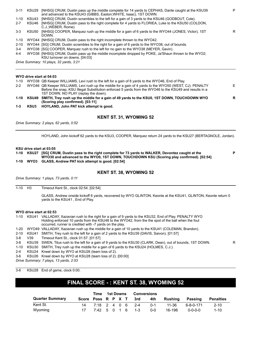| $3 - 11$ | KSU29 | [NHSG] CRUM, Dustin pass up the middle complete for 14 yards to CEPHAS, Dante caught at the KSU39<br>and advanced to the KSU43 (GIBBS, Easton; WHITE, Isaac), 1ST DOWN.                                                                                     | P |
|----------|-------|-------------------------------------------------------------------------------------------------------------------------------------------------------------------------------------------------------------------------------------------------------------|---|
| $1 - 10$ | KSU43 | [NHSG] CRUM, Dustin scrambles to the left for a gain of 3 yards to the KSU46 (GODBOUT, Cole).                                                                                                                                                               |   |
| $2 - 7$  | KSU46 | [NHSG] CRUM, Dustin pass to the right complete for 4 yards to FLORIEA, Luke to the KSU50 (COLDON,<br>C.J.;WEBER, Rome).                                                                                                                                     |   |
| $3 - 3$  | KSU50 | [NHSG] COOPER, Marquez rush up the middle for a gain of 6 yards to the WYO44 (JONES, Victor), 1ST<br>DOWN.                                                                                                                                                  | R |
| 1-10     |       | WYO44 [NHSG] CRUM, Dustin pass to the right incomplete thrown to the WYO42.                                                                                                                                                                                 |   |
| $2 - 10$ |       | WYO44 [SG] CRUM, Dustin scrambles to the right for a gain of 6 yards to the WYO38, out of bounds.                                                                                                                                                           |   |
| $3 - 4$  |       | WYO38 [SG] COOPER, Marquez rush to the left for no gain to the WYO38 (MEYER, Gavin).                                                                                                                                                                        |   |
| 4-4      |       | WYO38 [NHSG] CRUM, Dustin pass up the middle incomplete dropped by POKE, Ja'Shaun thrown to the WYO2;<br>KSU turnover on downs. [04:03]                                                                                                                     |   |
|          |       | Drive Summary: 10 plays, 32 yards, 3:21                                                                                                                                                                                                                     |   |
|          |       | WYO drive start at 04:03                                                                                                                                                                                                                                    |   |
| $1 - 10$ |       | WYO38 QB Keeper WILLIAMS, Levi rush to the left for a gain of 8 yards to the WYO46, End of Play.                                                                                                                                                            |   |
| $2 - 2$  |       | WYO46 QB Keeper WILLIAMS, Levi rush up the middle for a gain of 4 yards to the WYO50 (WEST, CJ). PENALTY<br>Before the snap, KSU Illegal Substitution enforced 5 yards from the WYO46 to the KSU49 and results in a<br>1ST DOWN. NO PLAY (replay the down). | Е |
|          |       | 1-10 KSU49 SMITH, Trey rush up the middle for a gain of 49 yards to the KSU0, 1ST DOWN, TOUCHDOWN WYO                                                                                                                                                       | R |

- **1-10 KSU49 SMITH, Trey rush up the middle for a gain of 49 yards to the KSU0, 1ST DOWN, TOUCHDOWN WYO (Scoring play confirmed). [03:11]**
- **1-3 KSU3 HOYLAND, John PAT kick attempt is good.**

# **KENT ST. 31, WYOMING 52**

*Drive Summary: 2 plays, 62 yards, 0:52*

HOYLAND, John kickoff 62 yards to the KSU3, COOPER, Marquez return 24 yards to the KSU27 (BERTAGNOLE, Jordan).

**KSU drive start at 03:05**

**1-10 KSU27 [SG] CRUM, Dustin pass to the right complete for 73 yards to WALKER, Devontez caught at the WYO30 and advanced to the WYO0, 1ST DOWN, TOUCHDOWN KSU (Scoring play confirmed). [02:54] 1-10 WYO3 GLASS, Andrew PAT kick attempt is good. [02:54]**

**P**

# **KENT ST. 38, WYOMING 52**

*Drive Summary: 1 plays, 73 yards, 0:11*

1-10 H3 Timeout Kent St., clock 02:54. [02:54]

GLASS, Andrew onside kickoff 6 yards, recovered by WYO GLINTON, Keonte at the KSU41, GLINTON, Keonte return 0 yards to the KSU41 , End of Play.

### **WYO drive start at 02:53**

1-10 KSU41 VALLADAY, Xazavian rush to the right for a gain of 9 yards to the KSU32, End of Play. PENALTY WYO Holding enforced 10 yards from the KSU48 to the WYO42, from the the spot of the ball when the foul occurred, runner is credited with -7 yards on the play.

1-20 WYO49 VALLADAY, Xazavian rush up the middle for a gain of 10 yards to the KSU41 (COLEMAN, Brandon).

- 2-10 KSU41 SMITH, Trey rush to the left for a gain of 2 yards to the KSU39 (DAVIS, Saivon). [01:57]
- 3-8 V39 Timeout Kent St., clock 01:57. [01:57]

3-8 KSU39 SWEN, Titus rush to the left for a gain of 9 yards to the KSU30 (CLARK, Dean), out of bounds, 1ST DOWN. R

- 1-10 KSU30 SMITH, Trey rush up the middle for a gain of 6 yards to the KSU24 (HOLMES, C.J.).
- 2-4 KSU24 Kneel down by WYO at KSU26 (team loss of 2).
- 3-6 KSU26 Kneel down by WYO at KSU28 (team loss of 2). [00:00]

*Drive Summary: 7 plays, 13 yards, 2:53*

3-6 KSU28 End of game, clock 0:00.

# **FINAL SCORE - : KENT ST. 38, WYOMING 52**

|                        |                    | Time         | 1st Downs |  | <b>Conversions</b> |                  |         |         |                 |                  |
|------------------------|--------------------|--------------|-----------|--|--------------------|------------------|---------|---------|-----------------|------------------|
| <b>Quarter Summary</b> | Score Poss R P X T |              |           |  |                    | 3rd              | 4th     | Rushina | Passing         | <b>Penalties</b> |
| Kent St.               |                    |              |           |  |                    | 7:18 2 4 0 6 2-4 | $0 - 1$ | 11-36   | ٬ 6-8-0-171     | $2 - 10$         |
| Wyoming                |                    | 7:42 5 0 1 6 |           |  |                    | $1 - 3$          | $0 - 0$ | 16-196  | $0 - 0 - 0 - 0$ | $1 - 10$         |